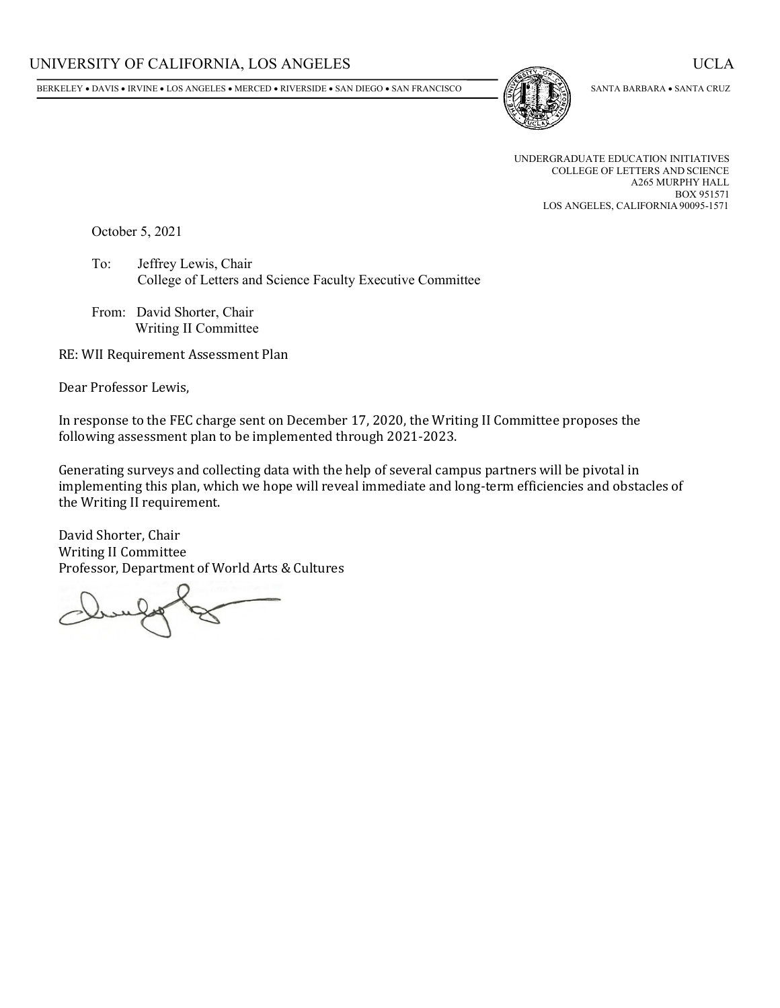BERKELEY • DAVIS • IRVINE • LOS ANGELES • MERCED • RIVERSIDE • SAN DIEGO • SAN FRANCISCO



SANTA BARBARA • SANTA CRUZ

UNDERGRADUATE EDUCATION INITIATIVES COLLEGE OF LETTERS AND SCIENCE A265 MURPHY HALL BOX 951571 LOS ANGELES, CALIFORNIA 90095-1571

October 5, 2021

To: Jeffrey Lewis, Chair College of Letters and Science Faculty Executive Committee

From: David Shorter, Chair Writing II Committee

RE: WII Requirement Assessment Plan

Dear Professor Lewis,

In response to the FEC charge sent on December 17, 2020, the Writing II Committee proposes the following assessment plan to be implemented through 2021-2023.

Generating surveys and collecting data with the help of several campus partners will be pivotal in implementing this plan, which we hope will reveal immediate and long-term efficiencies and obstacles of the Writing II requirement.

David Shorter, Chair Writing II Committee Professor, Department of World Arts & Cultures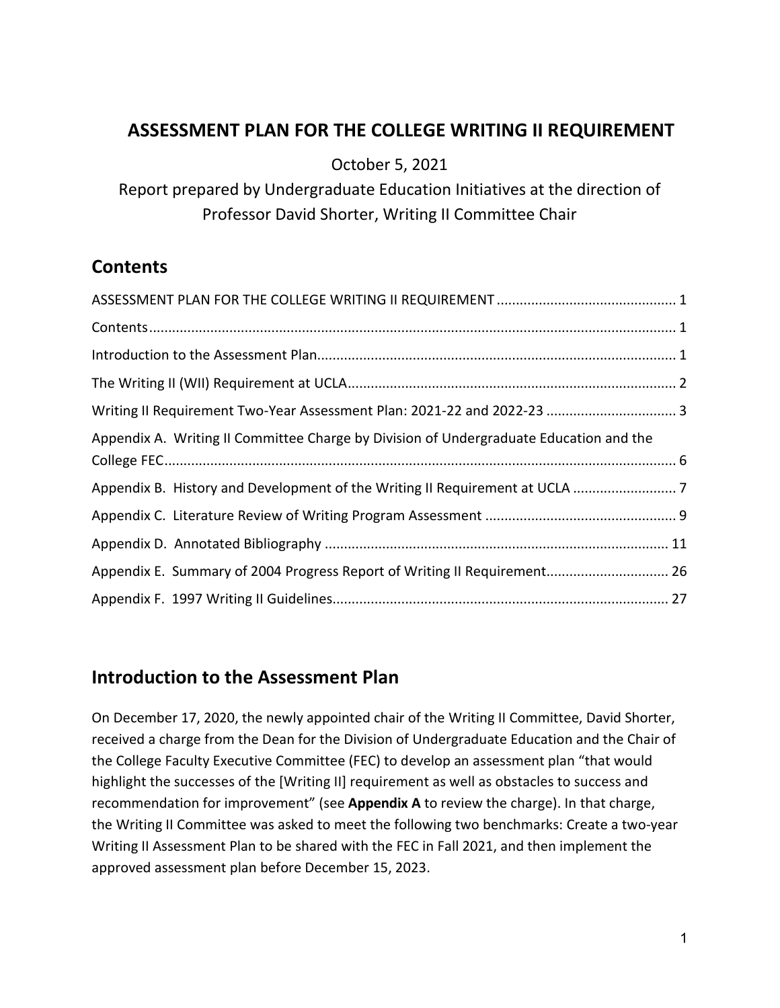## <span id="page-1-0"></span> **ASSESSMENT PLAN FOR THE COLLEGE WRITING II REQUIREMENT**

October 5, 2021

Report prepared by Undergraduate Education Initiatives at the direction of Professor David Shorter, Writing II Committee Chair

## <span id="page-1-1"></span>**Contents**

| Writing II Requirement Two-Year Assessment Plan: 2021-22 and 2022-23  3                |  |
|----------------------------------------------------------------------------------------|--|
| Appendix A. Writing II Committee Charge by Division of Undergraduate Education and the |  |
|                                                                                        |  |
|                                                                                        |  |
|                                                                                        |  |
|                                                                                        |  |
| Appendix E. Summary of 2004 Progress Report of Writing II Requirement 26               |  |
|                                                                                        |  |

## <span id="page-1-2"></span>**Introduction to the Assessment Plan**

On December 17, 2020, the newly appointed chair of the Writing II Committee, David Shorter, received a charge from the Dean for the Division of Undergraduate Education and the Chair of the College Faculty Executive Committee (FEC) to develop an assessment plan "that would highlight the successes of the [Writing II] requirement as well as obstacles to success and recommendation for improvement" (see **[Appendix A](#page-6-1)** to review the charge). In that charge, the Writing II Committee was asked to meet the following two benchmarks: Create a two-year Writing II Assessment Plan to be shared with the FEC in Fall 2021, and then implement the approved assessment plan before December 15, 2023.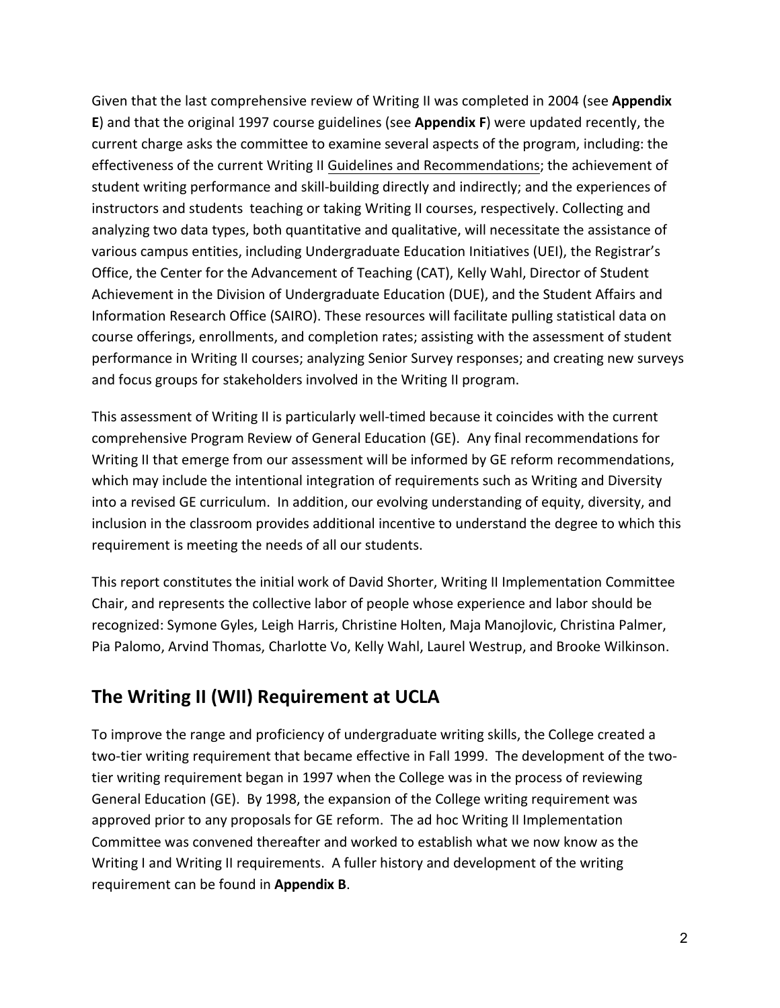[Given that the last comprehensive review of Writing II was completed in 2004 \(see](#page-26-1) **Appendix E**) and that the original 1997 course guidelines (see **[Appendix F](#page-27-1)**) were updated recently, the current charge asks the committee to examine several aspects of the program, including: the effectiveness of the current Writing II [Guidelines and Recommendations;](http://www.uei.ucla.edu/wp-content/uploads/2021/07/Guidelines-and-Recs-210429.pdf) the achievement of student writing performance and skill-building directly and indirectly; and the experiences of instructors and students teaching or taking Writing II courses, respectively. Collecting and analyzing two data types, both quantitative and qualitative, will necessitate the assistance of various campus entities, including Undergraduate Education Initiatives (UEI), the Registrar's Office, the Center for the Advancement of Teaching (CAT), Kelly Wahl, Director of Student Achievement in the Division of Undergraduate Education (DUE), and the Student Affairs and Information Research Office (SAIRO). These resources will facilitate pulling statistical data on course offerings, enrollments, and completion rates; assisting with the assessment of student performance in Writing II courses; analyzing Senior Survey responses; and creating new surveys and focus groups for stakeholders involved in the Writing II program.

This assessment of Writing II is particularly well-timed because it coincides with the current comprehensive Program Review of General Education (GE). Any final recommendations for Writing II that emerge from our assessment will be informed by GE reform recommendations, which may include the intentional integration of requirements such as Writing and Diversity into a revised GE curriculum. In addition, our evolving understanding of equity, diversity, and inclusion in the classroom provides additional incentive to understand the degree to which this requirement is meeting the needs of all our students.

This report constitutes the initial work of David Shorter, Writing II Implementation Committee Chair, and represents the collective labor of people whose experience and labor should be recognized: Symone Gyles, Leigh Harris, Christine Holten, Maja Manojlovic, Christina Palmer, Pia Palomo, Arvind Thomas, Charlotte Vo, Kelly Wahl, Laurel Westrup, and Brooke Wilkinson.

## <span id="page-2-0"></span>**The Writing II (WII) Requirement at UCLA**

To improve the range and proficiency of undergraduate writing skills, the College created a two-tier writing requirement that became effective in Fall 1999. The development of the twotier writing requirement began in 1997 when the College was in the process of reviewing General Education (GE). By 1998, the expansion of the College writing requirement was approved prior to any proposals for GE reform. The ad hoc Writing II Implementation Committee was convened thereafter and worked to establish what we now know as the Writing I and Writing II requirements. A fuller history and development of the writing requirement can be found in **[Appendix B](#page-7-1)**.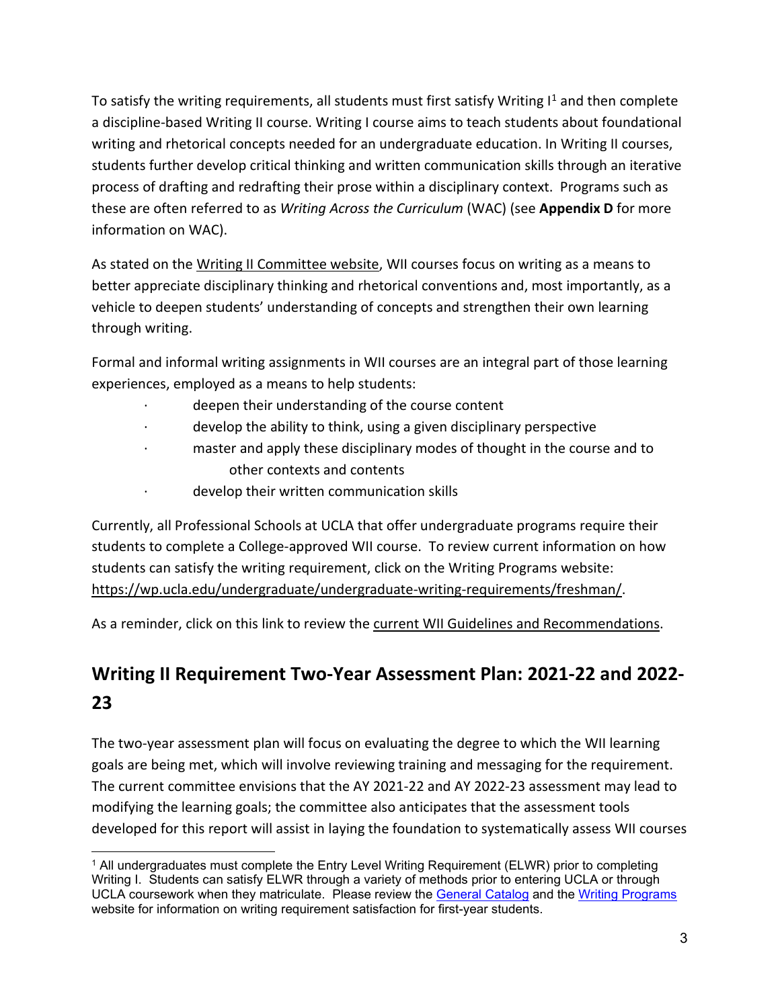To satisfy the writing requirements, all students must first satisfy Writing  $I<sup>1</sup>$  $I<sup>1</sup>$  $I<sup>1</sup>$  and then complete a discipline-based Writing II course. Writing I course aims to teach students about foundational writing and rhetorical concepts needed for an undergraduate education. In Writing II courses, students further develop critical thinking and written communication skills through an iterative process of drafting and redrafting their prose within a disciplinary context. Programs such as these are often referred to as *Writing Across the Curriculum* (WAC) (see **[Appendix D](#page-12-0)** for more information on WAC).

As stated on the [Writing II Committee website,](http://www.uei.ucla.edu/shared-governance/writing-ii-requirement/) WII courses focus on writing as a means to better appreciate disciplinary thinking and rhetorical conventions and, most importantly, as a vehicle to deepen students' understanding of concepts and strengthen their own learning through writing.

Formal and informal writing assignments in WII courses are an integral part of those learning experiences, employed as a means to help students:

- deepen their understanding of the course content
- develop the ability to think, using a given disciplinary perspective
- master and apply these disciplinary modes of thought in the course and to other contexts and contents
- develop their written communication skills

Currently, all Professional Schools at UCLA that offer undergraduate programs require their students to complete a College-approved WII course. To review current information on how students can satisfy the writing requirement, click on the Writing Programs website: [https://wp.ucla.edu/undergraduate/undergraduate-writing-requirements/freshman/.](https://wp.ucla.edu/undergraduate/undergraduate-writing-requirements/freshman/)

As a reminder, click on this link to review the [current WII Guidelines and Recommendations.](http://www.uei.ucla.edu/shared-governance/writing-ii-requirement/proposing-a-course/)

# <span id="page-3-0"></span>**Writing II Requirement Two-Year Assessment Plan: 2021-22 and 2022- 23**

The two-year assessment plan will focus on evaluating the degree to which the WII learning goals are being met, which will involve reviewing training and messaging for the requirement. The current committee envisions that the AY 2021-22 and AY 2022-23 assessment may lead to modifying the learning goals; the committee also anticipates that the assessment tools developed for this report will assist in laying the foundation to systematically assess WII courses

<span id="page-3-1"></span><sup>1</sup> All undergraduates must complete the Entry Level Writing Requirement (ELWR) prior to completing Writing I. Students can satisfy ELWR through a variety of methods prior to entering UCLA or through UCLA coursework when they matriculate. Please review the [General Catalog](https://catalog.registrar.ucla.edu/Undergraduate-Study/Degree-Requirements/University-Requirements) and the [Writing Programs](https://wp.ucla.edu/undergraduate/undergraduate-writing-requirements/) website for information on writing requirement satisfaction for first-year students.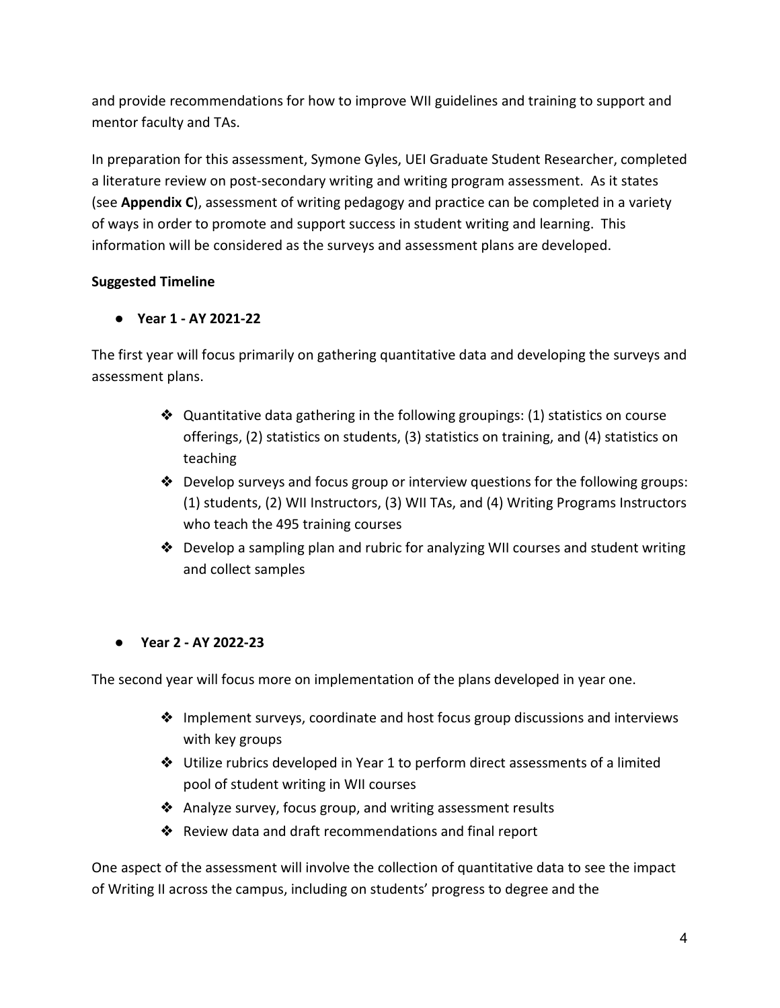and provide recommendations for how to improve WII guidelines and training to support and mentor faculty and TAs.

In preparation for this assessment, Symone Gyles, UEI Graduate Student Researcher, completed a literature review on post-secondary writing and writing program assessment. As it states (see **[Appendix](#page-9-1) C**), assessment of writing pedagogy and practice can be completed in a variety of ways in order to promote and support success in student writing and learning. This information will be considered as the surveys and assessment plans are developed.

### **Suggested Timeline**

### ● **Year 1 - AY 2021-22**

The first year will focus primarily on gathering quantitative data and developing the surveys and assessment plans.

- $\triangleleft$  Quantitative data gathering in the following groupings: (1) statistics on course offerings, (2) statistics on students, (3) statistics on training, and (4) statistics on teaching
- ❖ Develop surveys and focus group or interview questions for the following groups: (1) students, (2) WII Instructors, (3) WII TAs, and (4) Writing Programs Instructors who teach the 495 training courses
- $\triangle$  Develop a sampling plan and rubric for analyzing WII courses and student writing and collect samples

### ● **Year 2 - AY 2022-23**

The second year will focus more on implementation of the plans developed in year one.

- ❖ Implement surveys, coordinate and host focus group discussions and interviews with key groups
- ❖ Utilize rubrics developed in Year 1 to perform direct assessments of a limited pool of student writing in WII courses
- ❖ Analyze survey, focus group, and writing assessment results
- ❖ Review data and draft recommendations and final report

One aspect of the assessment will involve the collection of quantitative data to see the impact of Writing II across the campus, including on students' progress to degree and the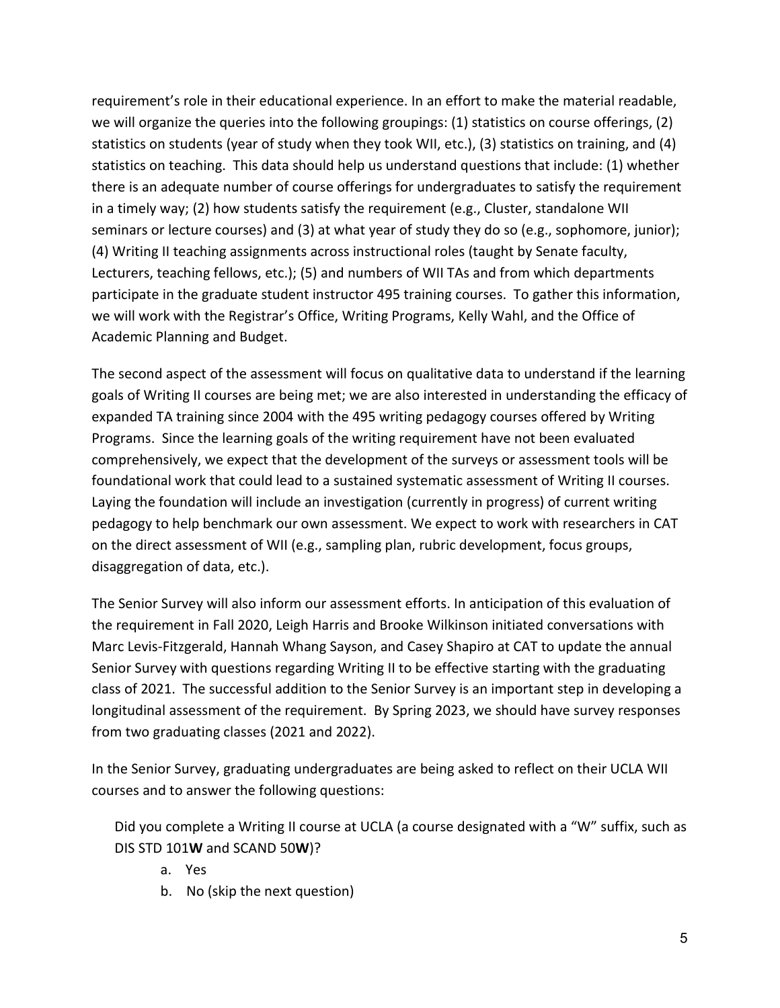requirement's role in their educational experience. In an effort to make the material readable, we will organize the queries into the following groupings: (1) statistics on course offerings, (2) statistics on students (year of study when they took WII, etc.), (3) statistics on training, and (4) statistics on teaching. This data should help us understand questions that include: (1) whether there is an adequate number of course offerings for undergraduates to satisfy the requirement in a timely way; (2) how students satisfy the requirement (e.g., Cluster, standalone WII seminars or lecture courses) and (3) at what year of study they do so (e.g., sophomore, junior); (4) Writing II teaching assignments across instructional roles (taught by Senate faculty, Lecturers, teaching fellows, etc.); (5) and numbers of WII TAs and from which departments participate in the graduate student instructor 495 training courses. To gather this information, we will work with the Registrar's Office, Writing Programs, Kelly Wahl, and the Office of Academic Planning and Budget.

The second aspect of the assessment will focus on qualitative data to understand if the learning goals of Writing II courses are being met; we are also interested in understanding the efficacy of expanded TA training since 2004 with the 495 writing pedagogy courses offered by Writing Programs. Since the learning goals of the writing requirement have not been evaluated comprehensively, we expect that the development of the surveys or assessment tools will be foundational work that could lead to a sustained systematic assessment of Writing II courses. Laying the foundation will include an investigation (currently in progress) of current writing pedagogy to help benchmark our own assessment. We expect to work with researchers in CAT on the direct assessment of WII (e.g., sampling plan, rubric development, focus groups, disaggregation of data, etc.).

The Senior Survey will also inform our assessment efforts. In anticipation of this evaluation of the requirement in Fall 2020, Leigh Harris and Brooke Wilkinson initiated conversations with Marc Levis-Fitzgerald, Hannah Whang Sayson, and Casey Shapiro at CAT to update the annual Senior Survey with questions regarding Writing II to be effective starting with the graduating class of 2021. The successful addition to the Senior Survey is an important step in developing a longitudinal assessment of the requirement. By Spring 2023, we should have survey responses from two graduating classes (2021 and 2022).

In the Senior Survey, graduating undergraduates are being asked to reflect on their UCLA WII courses and to answer the following questions:

Did you complete a Writing II course at UCLA (a course designated with a "W" suffix, such as DIS STD 101**W** and SCAND 50**W**)?

- a. Yes
- b. No (skip the next question)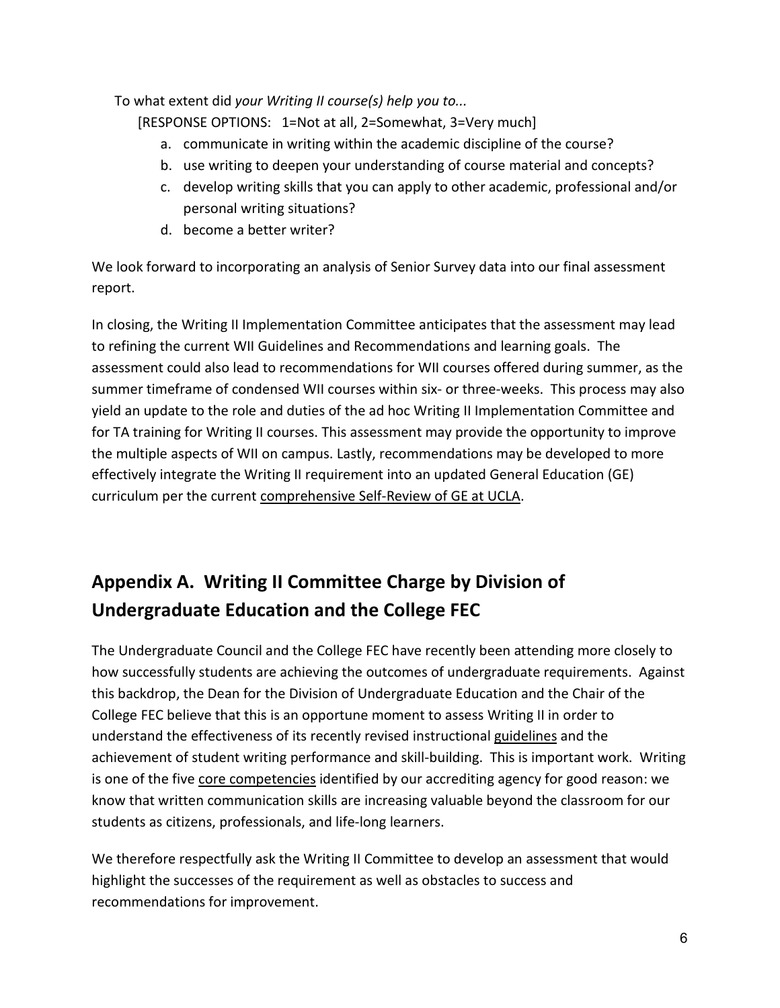<span id="page-6-1"></span>To what extent did *your Writing II course(s) help you to...*

[RESPONSE OPTIONS: 1=Not at all, 2=Somewhat, 3=Very much]

- a. communicate in writing within the academic discipline of the course?
- b. use writing to deepen your understanding of course material and concepts?
- c. develop writing skills that you can apply to other academic, professional and/or personal writing situations?
- d. become a better writer?

We look forward to incorporating an analysis of Senior Survey data into our final assessment report.

In closing, the Writing II Implementation Committee anticipates that the assessment may lead to refining the current WII Guidelines and Recommendations and learning goals. The assessment could also lead to recommendations for WII courses offered during summer, as the summer timeframe of condensed WII courses within six- or three-weeks. This process may also yield an update to the role and duties of the ad hoc Writing II Implementation Committee and for TA training for Writing II courses. This assessment may provide the opportunity to improve the multiple aspects of WII on campus. Lastly, recommendations may be developed to more effectively integrate the Writing II requirement into an updated General Education (GE) curriculum per the current [comprehensive Self-Review of GE at UCLA.](http://www.uei.ucla.edu/wp-content/uploads/2021/07/GE_Ad_Hoc_Report.pdf)

# <span id="page-6-0"></span>**Appendix A. Writing II Committee Charge by Division of Undergraduate Education and the College FEC**

The Undergraduate Council and the College FEC have recently been attending more closely to how successfully students are achieving the outcomes of undergraduate requirements. Against this backdrop, the Dean for the Division of Undergraduate Education and the Chair of the College FEC believe that this is an opportune moment to assess Writing II in order to understand the effectiveness of its recently revised instructiona[l](http://www.uei.ucla.edu/wp-content/uploads/2019/05/2019-20-WII-Guidelines.pdf) [guidelines](http://www.uei.ucla.edu/wp-content/uploads/2019/05/2019-20-WII-Guidelines.pdf) and the achievement of student writing performance and skill-building. This is important work. Writing is one of the five [core competencies](https://wascsenior.box.com/shared/static/mmwvqasdsdz6fmk3vqb8.pdf) identified by our accrediting agency for good reason: we know that written communication skills are increasing valuable beyond the classroom for our students as citizens, professionals, and life-long learners.

We therefore respectfully ask the Writing II Committee to develop an assessment that would highlight the successes of the requirement as well as obstacles to success and recommendations for improvement.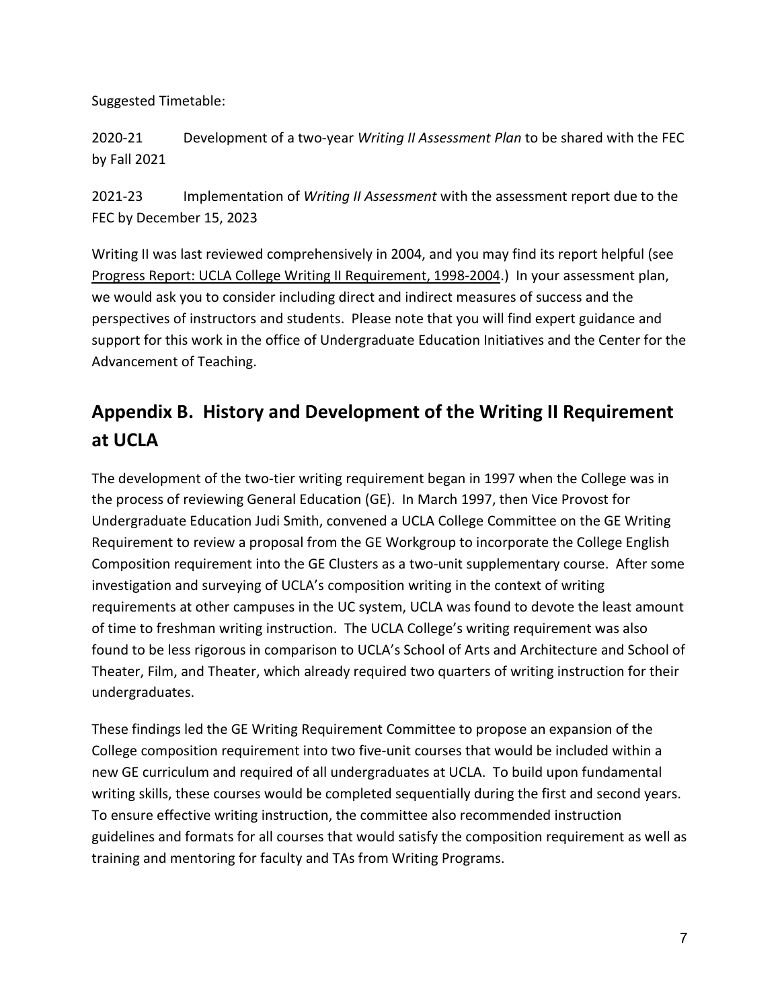<span id="page-7-1"></span>Suggested Timetable:

2020-21 Development of a two-year *Writing II Assessment Plan* to be shared with the FEC by Fall 2021

2021-23 Implementation of *Writing II Assessment* with the assessment report due to the FEC by December 15, 2023

Writing II was last reviewed comprehensively in 2004, and you may find its report helpful (se[e](http://www.uei.ucla.edu/wp-content/uploads/2018/04/WritingIIProgressReport.pdf) [Progress Report: UCLA College Writing II](http://www.uei.ucla.edu/wp-content/uploads/2018/04/WritingIIProgressReport.pdf) Requirement, 1998-2004.) In your assessment plan, we would ask you to consider including direct and indirect measures of success and the perspectives of instructors and students. Please note that you will find expert guidance and support for this work in the office of Undergraduate Education Initiatives and the Center for the Advancement of Teaching.

# <span id="page-7-0"></span>**Appendix B. History and Development of the Writing II Requirement at UCLA**

The development of the two-tier writing requirement began in 1997 when the College was in the process of reviewing General Education (GE). In March 1997, then Vice Provost for Undergraduate Education Judi Smith, convened a UCLA College Committee on the GE Writing Requirement to review a proposal from the GE Workgroup to incorporate the College English Composition requirement into the GE Clusters as a two-unit supplementary course. After some investigation and surveying of UCLA's composition writing in the context of writing requirements at other campuses in the UC system, UCLA was found to devote the least amount of time to freshman writing instruction. The UCLA College's writing requirement was also found to be less rigorous in comparison to UCLA's School of Arts and Architecture and School of Theater, Film, and Theater, which already required two quarters of writing instruction for their undergraduates.

These findings led the GE Writing Requirement Committee to propose an expansion of the College composition requirement into two five-unit courses that would be included within a new GE curriculum and required of all undergraduates at UCLA. To build upon fundamental writing skills, these courses would be completed sequentially during the first and second years. To ensure effective writing instruction, the committee also recommended instruction guidelines and formats for all courses that would satisfy the composition requirement as well as training and mentoring for faculty and TAs from Writing Programs.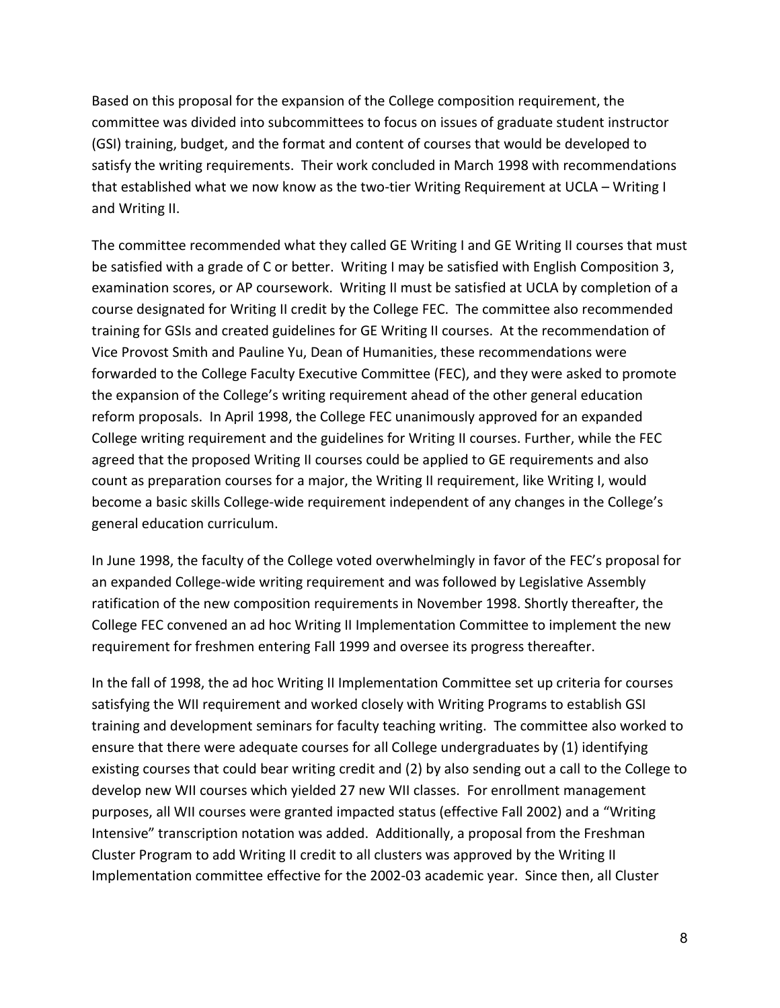Based on this proposal for the expansion of the College composition requirement, the committee was divided into subcommittees to focus on issues of graduate student instructor (GSI) training, budget, and the format and content of courses that would be developed to satisfy the writing requirements. Their work concluded in March 1998 with recommendations that established what we now know as the two-tier Writing Requirement at UCLA – Writing I and Writing II.

The committee recommended what they called GE Writing I and GE Writing II courses that must be satisfied with a grade of C or better. Writing I may be satisfied with English Composition 3, examination scores, or AP coursework. Writing II must be satisfied at UCLA by completion of a course designated for Writing II credit by the College FEC. The committee also recommended training for GSIs and created guidelines for GE Writing II courses. At the recommendation of Vice Provost Smith and Pauline Yu, Dean of Humanities, these recommendations were forwarded to the College Faculty Executive Committee (FEC), and they were asked to promote the expansion of the College's writing requirement ahead of the other general education reform proposals. In April 1998, the College FEC unanimously approved for an expanded College writing requirement and the guidelines for Writing II courses. Further, while the FEC agreed that the proposed Writing II courses could be applied to GE requirements and also count as preparation courses for a major, the Writing II requirement, like Writing I, would become a basic skills College-wide requirement independent of any changes in the College's general education curriculum.

In June 1998, the faculty of the College voted overwhelmingly in favor of the FEC's proposal for an expanded College-wide writing requirement and was followed by Legislative Assembly ratification of the new composition requirements in November 1998. Shortly thereafter, the College FEC convened an ad hoc Writing II Implementation Committee to implement the new requirement for freshmen entering Fall 1999 and oversee its progress thereafter.

In the fall of 1998, the ad hoc Writing II Implementation Committee set up criteria for courses satisfying the WII requirement and worked closely with Writing Programs to establish GSI training and development seminars for faculty teaching writing. The committee also worked to ensure that there were adequate courses for all College undergraduates by (1) identifying existing courses that could bear writing credit and (2) by also sending out a call to the College to develop new WII courses which yielded 27 new WII classes. For enrollment management purposes, all WII courses were granted impacted status (effective Fall 2002) and a "Writing Intensive" transcription notation was added. Additionally, a proposal from the Freshman Cluster Program to add Writing II credit to all clusters was approved by the Writing II Implementation committee effective for the 2002-03 academic year. Since then, all Cluster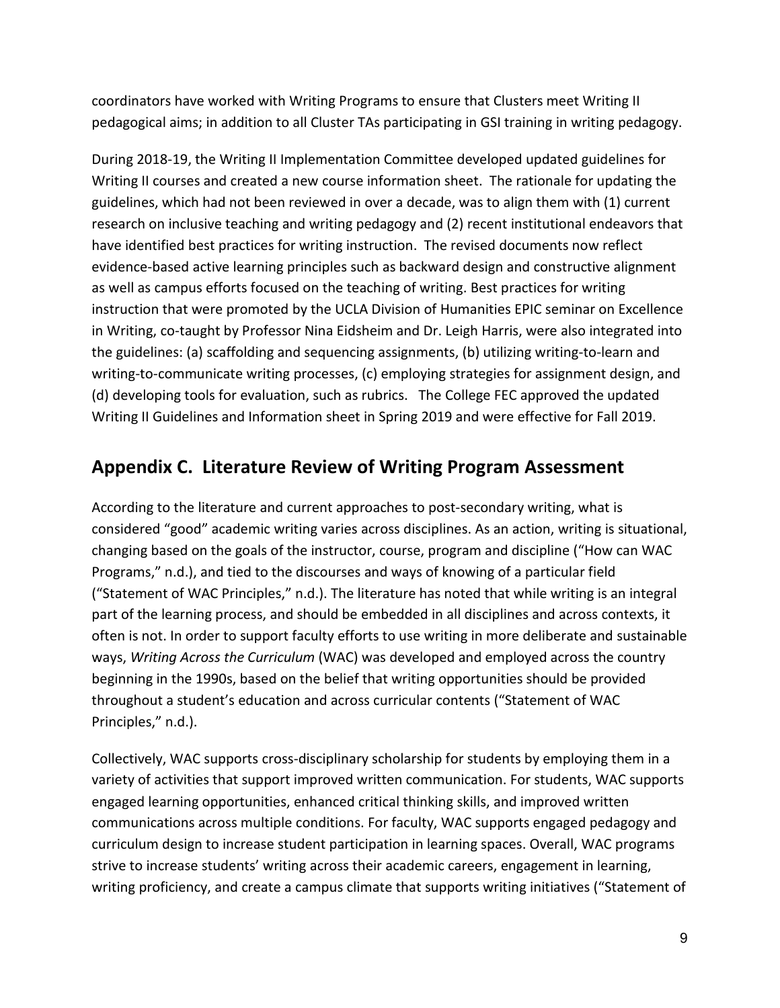<span id="page-9-1"></span>coordinators have worked with Writing Programs to ensure that Clusters meet Writing II pedagogical aims; in addition to all Cluster TAs participating in GSI training in writing pedagogy.

During 2018-19, the Writing II Implementation Committee developed updated guidelines for Writing II courses and created a new course information sheet. The rationale for updating the guidelines, which had not been reviewed in over a decade, was to align them with (1) current research on inclusive teaching and writing pedagogy and (2) recent institutional endeavors that have identified best practices for writing instruction. The revised documents now reflect evidence-based active learning principles such as backward design and constructive alignment as well as campus efforts focused on the teaching of writing. Best practices for writing instruction that were promoted by the UCLA Division of Humanities EPIC seminar on Excellence in Writing, co-taught by Professor Nina Eidsheim and Dr. Leigh Harris, were also integrated into the guidelines: (a) scaffolding and sequencing assignments, (b) utilizing writing-to-learn and writing-to-communicate writing processes, (c) employing strategies for assignment design, and (d) developing tools for evaluation, such as rubrics. The College FEC approved the updated Writing II Guidelines and Information sheet in Spring 2019 and were effective for Fall 2019.

## <span id="page-9-0"></span>**Appendix C. Literature Review of Writing Program Assessment**

According to the literature and current approaches to post-secondary writing, what is considered "good" academic writing varies across disciplines. As an action, writing is situational, changing based on the goals of the instructor, course, program and discipline ("How can WAC Programs," n.d.), and tied to the discourses and ways of knowing of a particular field ("Statement of WAC Principles," n.d.). The literature has noted that while writing is an integral part of the learning process, and should be embedded in all disciplines and across contexts, it often is not. In order to support faculty efforts to use writing in more deliberate and sustainable ways, *Writing Across the Curriculum* (WAC) was developed and employed across the country beginning in the 1990s, based on the belief that writing opportunities should be provided throughout a student's education and across curricular contents ("Statement of WAC Principles," n.d.).

Collectively, WAC supports cross-disciplinary scholarship for students by employing them in a variety of activities that support improved written communication. For students, WAC supports engaged learning opportunities, enhanced critical thinking skills, and improved written communications across multiple conditions. For faculty, WAC supports engaged pedagogy and curriculum design to increase student participation in learning spaces. Overall, WAC programs strive to increase students' writing across their academic careers, engagement in learning, writing proficiency, and create a campus climate that supports writing initiatives ("Statement of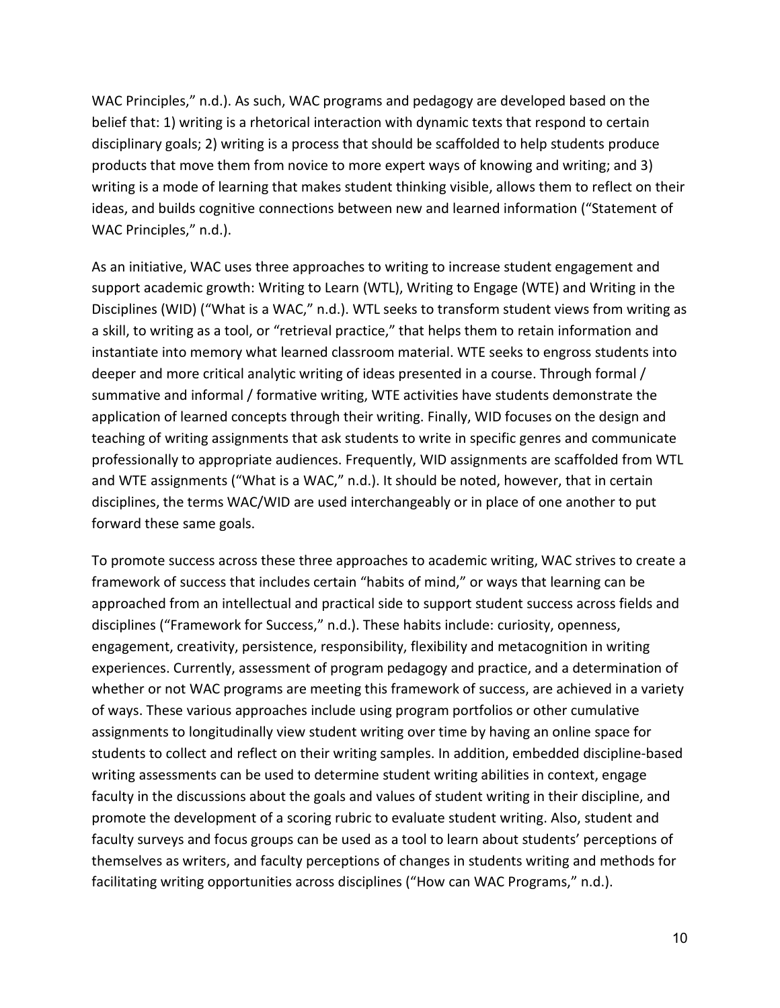WAC Principles," n.d.). As such, WAC programs and pedagogy are developed based on the belief that: 1) writing is a rhetorical interaction with dynamic texts that respond to certain disciplinary goals; 2) writing is a process that should be scaffolded to help students produce products that move them from novice to more expert ways of knowing and writing; and 3) writing is a mode of learning that makes student thinking visible, allows them to reflect on their ideas, and builds cognitive connections between new and learned information ("Statement of WAC Principles," n.d.).

As an initiative, WAC uses three approaches to writing to increase student engagement and support academic growth: Writing to Learn (WTL), Writing to Engage (WTE) and Writing in the Disciplines (WID) ("What is a WAC," n.d.). WTL seeks to transform student views from writing as a skill, to writing as a tool, or "retrieval practice," that helps them to retain information and instantiate into memory what learned classroom material. WTE seeks to engross students into deeper and more critical analytic writing of ideas presented in a course. Through formal / summative and informal / formative writing, WTE activities have students demonstrate the application of learned concepts through their writing. Finally, WID focuses on the design and teaching of writing assignments that ask students to write in specific genres and communicate professionally to appropriate audiences. Frequently, WID assignments are scaffolded from WTL and WTE assignments ("What is a WAC," n.d.). It should be noted, however, that in certain disciplines, the terms WAC/WID are used interchangeably or in place of one another to put forward these same goals.

To promote success across these three approaches to academic writing, WAC strives to create a framework of success that includes certain "habits of mind," or ways that learning can be approached from an intellectual and practical side to support student success across fields and disciplines ("Framework for Success," n.d.). These habits include: curiosity, openness, engagement, creativity, persistence, responsibility, flexibility and metacognition in writing experiences. Currently, assessment of program pedagogy and practice, and a determination of whether or not WAC programs are meeting this framework of success, are achieved in a variety of ways. These various approaches include using program portfolios or other cumulative assignments to longitudinally view student writing over time by having an online space for students to collect and reflect on their writing samples. In addition, embedded discipline-based writing assessments can be used to determine student writing abilities in context, engage faculty in the discussions about the goals and values of student writing in their discipline, and promote the development of a scoring rubric to evaluate student writing. Also, student and faculty surveys and focus groups can be used as a tool to learn about students' perceptions of themselves as writers, and faculty perceptions of changes in students writing and methods for facilitating writing opportunities across disciplines ("How can WAC Programs," n.d.).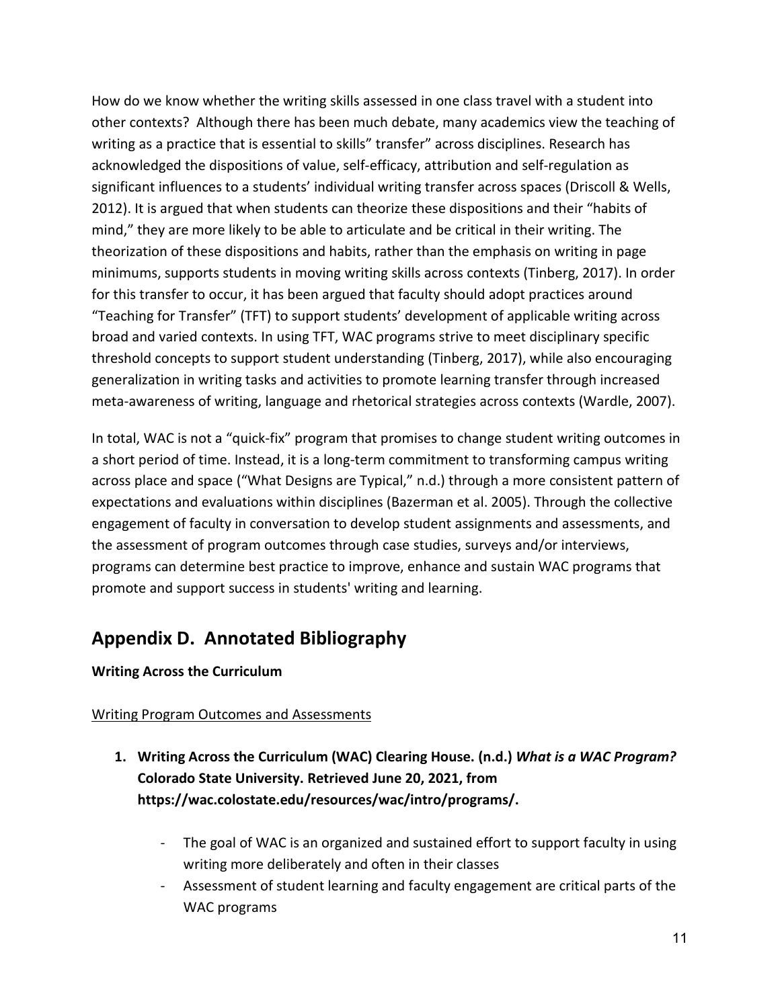How do we know whether the writing skills assessed in one class travel with a student into other contexts? Although there has been much debate, many academics view the teaching of writing as a practice that is essential to skills" transfer" across disciplines. Research has acknowledged the dispositions of value, self-efficacy, attribution and self-regulation as significant influences to a students' individual writing transfer across spaces (Driscoll & Wells, 2012). It is argued that when students can theorize these dispositions and their "habits of mind," they are more likely to be able to articulate and be critical in their writing. The theorization of these dispositions and habits, rather than the emphasis on writing in page minimums, supports students in moving writing skills across contexts (Tinberg, 2017). In order for this transfer to occur, it has been argued that faculty should adopt practices around "Teaching for Transfer" (TFT) to support students' development of applicable writing across broad and varied contexts. In using TFT, WAC programs strive to meet disciplinary specific threshold concepts to support student understanding (Tinberg, 2017), while also encouraging generalization in writing tasks and activities to promote learning transfer through increased meta-awareness of writing, language and rhetorical strategies across contexts (Wardle, 2007).

In total, WAC is not a "quick-fix" program that promises to change student writing outcomes in a short period of time. Instead, it is a long-term commitment to transforming campus writing across place and space ("What Designs are Typical," n.d.) through a more consistent pattern of expectations and evaluations within disciplines (Bazerman et al. 2005). Through the collective engagement of faculty in conversation to develop student assignments and assessments, and the assessment of program outcomes through case studies, surveys and/or interviews, programs can determine best practice to improve, enhance and sustain WAC programs that promote and support success in students' writing and learning.

## <span id="page-11-0"></span>**Appendix D. Annotated Bibliography**

### **Writing Across the Curriculum**

### Writing Program Outcomes and Assessments

- **1. Writing Across the Curriculum (WAC) Clearing House. (n.d.)** *What is a WAC Program?*  **Colorado State University. Retrieved June 20, 2021, from https://wac.colostate.edu/resources/wac/intro/programs/.**
	- The goal of WAC is an organized and sustained effort to support faculty in using writing more deliberately and often in their classes
	- Assessment of student learning and faculty engagement are critical parts of the WAC programs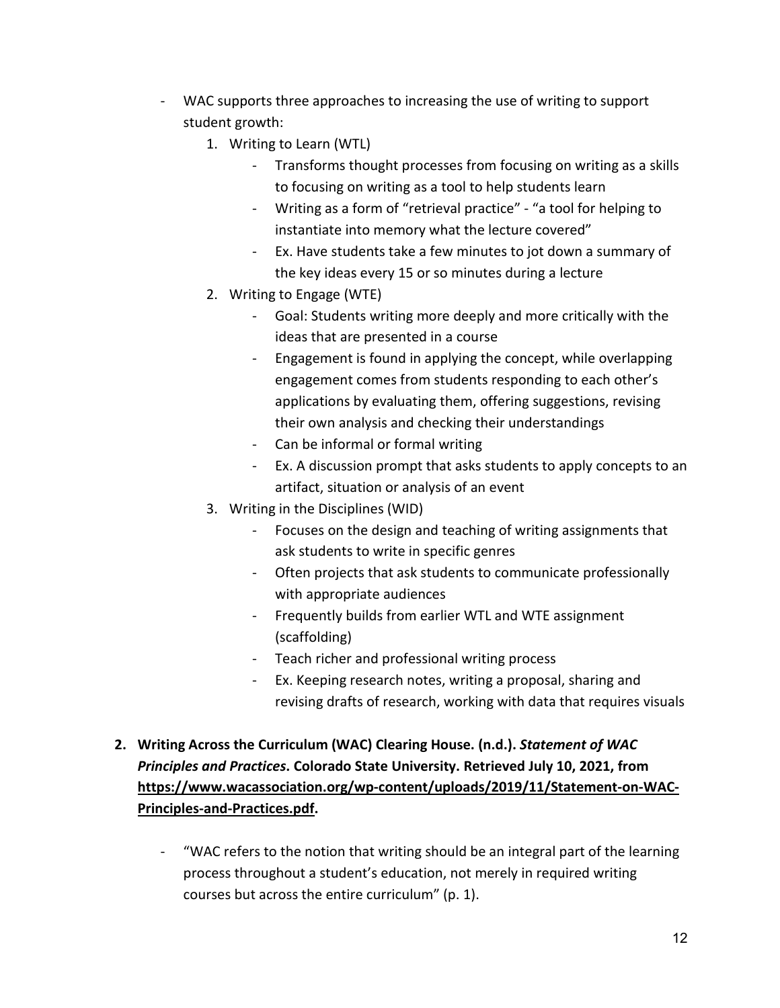- <span id="page-12-0"></span>- WAC supports three approaches to increasing the use of writing to support student growth:
	- 1. Writing to Learn (WTL)
		- Transforms thought processes from focusing on writing as a skills to focusing on writing as a tool to help students learn
		- Writing as a form of "retrieval practice" "a tool for helping to instantiate into memory what the lecture covered"
		- Ex. Have students take a few minutes to jot down a summary of the key ideas every 15 or so minutes during a lecture
	- 2. Writing to Engage (WTE)
		- Goal: Students writing more deeply and more critically with the ideas that are presented in a course
		- Engagement is found in applying the concept, while overlapping engagement comes from students responding to each other's applications by evaluating them, offering suggestions, revising their own analysis and checking their understandings
		- Can be informal or formal writing
		- Ex. A discussion prompt that asks students to apply concepts to an artifact, situation or analysis of an event
	- 3. Writing in the Disciplines (WID)
		- Focuses on the design and teaching of writing assignments that ask students to write in specific genres
		- Often projects that ask students to communicate professionally with appropriate audiences
		- Frequently builds from earlier WTL and WTE assignment (scaffolding)
		- Teach richer and professional writing process
		- Ex. Keeping research notes, writing a proposal, sharing and revising drafts of research, working with data that requires visuals
- **2. Writing Across the Curriculum (WAC) Clearing House. (n.d.).** *Statement of WAC Principles and Practices***. Colorado State University. Retrieved July 10, 2021, from [https://www.wacassociation.org/wp-content/uploads/2019/11/Statement-on-WAC-](https://www.wacassociation.org/wp-content/uploads/2019/11/Statement-on-WAC-Principles-and-Practices.pdf)[Principles-and-Practices.pdf.](https://www.wacassociation.org/wp-content/uploads/2019/11/Statement-on-WAC-Principles-and-Practices.pdf)**
	- "WAC refers to the notion that writing should be an integral part of the learning process throughout a student's education, not merely in required writing courses but across the entire curriculum" (p. 1).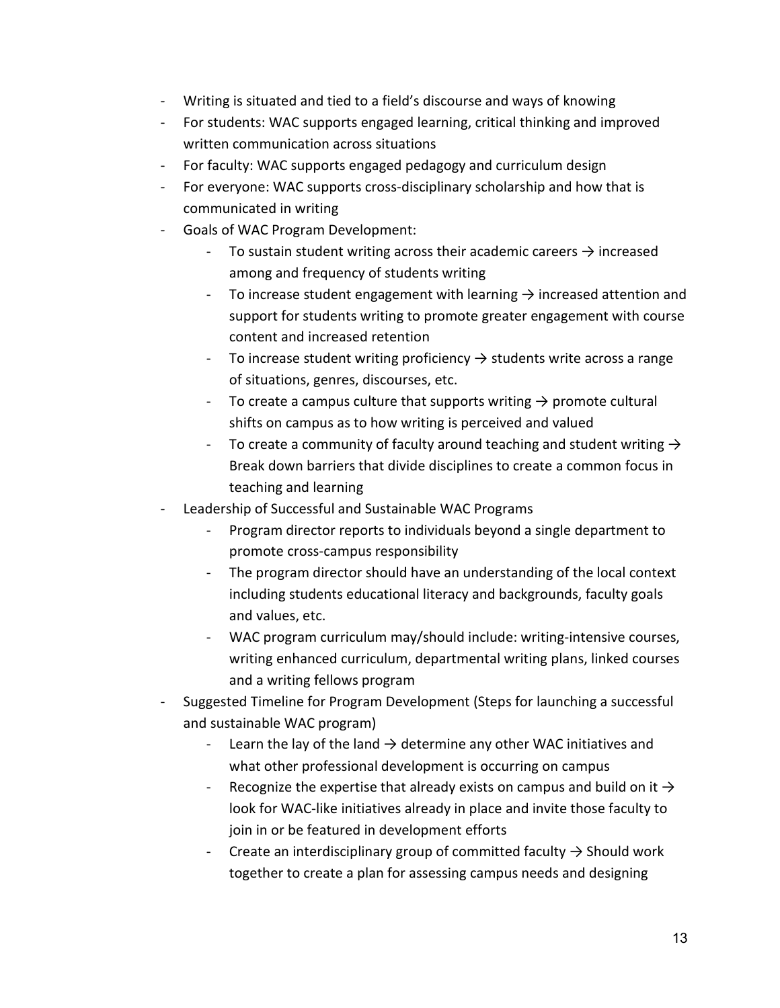- Writing is situated and tied to a field's discourse and ways of knowing
- For students: WAC supports engaged learning, critical thinking and improved written communication across situations
- For faculty: WAC supports engaged pedagogy and curriculum design
- For everyone: WAC supports cross-disciplinary scholarship and how that is communicated in writing
- Goals of WAC Program Development:
	- To sustain student writing across their academic careers  $\rightarrow$  increased among and frequency of students writing
	- To increase student engagement with learning  $\rightarrow$  increased attention and support for students writing to promote greater engagement with course content and increased retention
	- To increase student writing proficiency  $\rightarrow$  students write across a range of situations, genres, discourses, etc.
	- To create a campus culture that supports writing  $\rightarrow$  promote cultural shifts on campus as to how writing is perceived and valued
	- To create a community of faculty around teaching and student writing  $\rightarrow$ Break down barriers that divide disciplines to create a common focus in teaching and learning
- Leadership of Successful and Sustainable WAC Programs
	- Program director reports to individuals beyond a single department to promote cross-campus responsibility
	- The program director should have an understanding of the local context including students educational literacy and backgrounds, faculty goals and values, etc.
	- WAC program curriculum may/should include: writing-intensive courses, writing enhanced curriculum, departmental writing plans, linked courses and a writing fellows program
- Suggested Timeline for Program Development (Steps for launching a successful and sustainable WAC program)
	- Learn the lay of the land  $\rightarrow$  determine any other WAC initiatives and what other professional development is occurring on campus
	- Recognize the expertise that already exists on campus and build on it  $\rightarrow$ look for WAC-like initiatives already in place and invite those faculty to join in or be featured in development efforts
	- Create an interdisciplinary group of committed faculty  $\rightarrow$  Should work together to create a plan for assessing campus needs and designing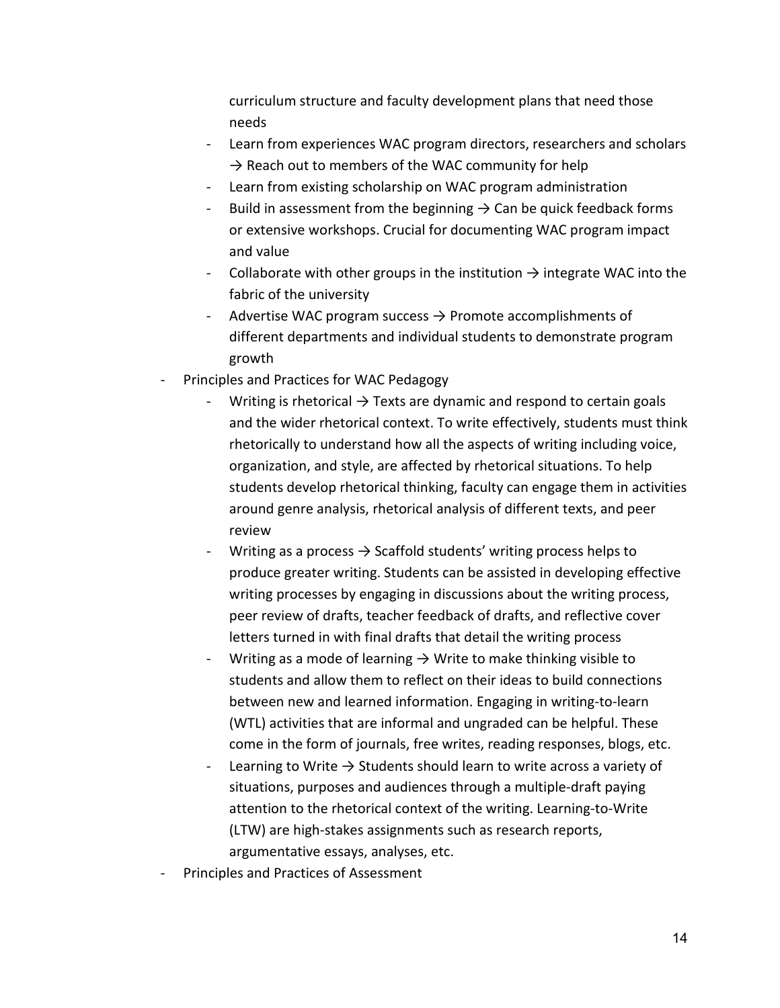curriculum structure and faculty development plans that need those needs

- Learn from experiences WAC program directors, researchers and scholars  $\rightarrow$  Reach out to members of the WAC community for help
- Learn from existing scholarship on WAC program administration
- Build in assessment from the beginning  $\rightarrow$  Can be quick feedback forms or extensive workshops. Crucial for documenting WAC program impact and value
- Collaborate with other groups in the institution  $\rightarrow$  integrate WAC into the fabric of the university
- Advertise WAC program success  $\rightarrow$  Promote accomplishments of different departments and individual students to demonstrate program growth
- Principles and Practices for WAC Pedagogy
	- Writing is rhetorical  $\rightarrow$  Texts are dynamic and respond to certain goals and the wider rhetorical context. To write effectively, students must think rhetorically to understand how all the aspects of writing including voice, organization, and style, are affected by rhetorical situations. To help students develop rhetorical thinking, faculty can engage them in activities around genre analysis, rhetorical analysis of different texts, and peer review
	- Writing as a process  $\rightarrow$  Scaffold students' writing process helps to produce greater writing. Students can be assisted in developing effective writing processes by engaging in discussions about the writing process, peer review of drafts, teacher feedback of drafts, and reflective cover letters turned in with final drafts that detail the writing process
	- Writing as a mode of learning  $\rightarrow$  Write to make thinking visible to students and allow them to reflect on their ideas to build connections between new and learned information. Engaging in writing-to-learn (WTL) activities that are informal and ungraded can be helpful. These come in the form of journals, free writes, reading responses, blogs, etc.
	- Learning to Write  $\rightarrow$  Students should learn to write across a variety of situations, purposes and audiences through a multiple-draft paying attention to the rhetorical context of the writing. Learning-to-Write (LTW) are high-stakes assignments such as research reports, argumentative essays, analyses, etc.
- Principles and Practices of Assessment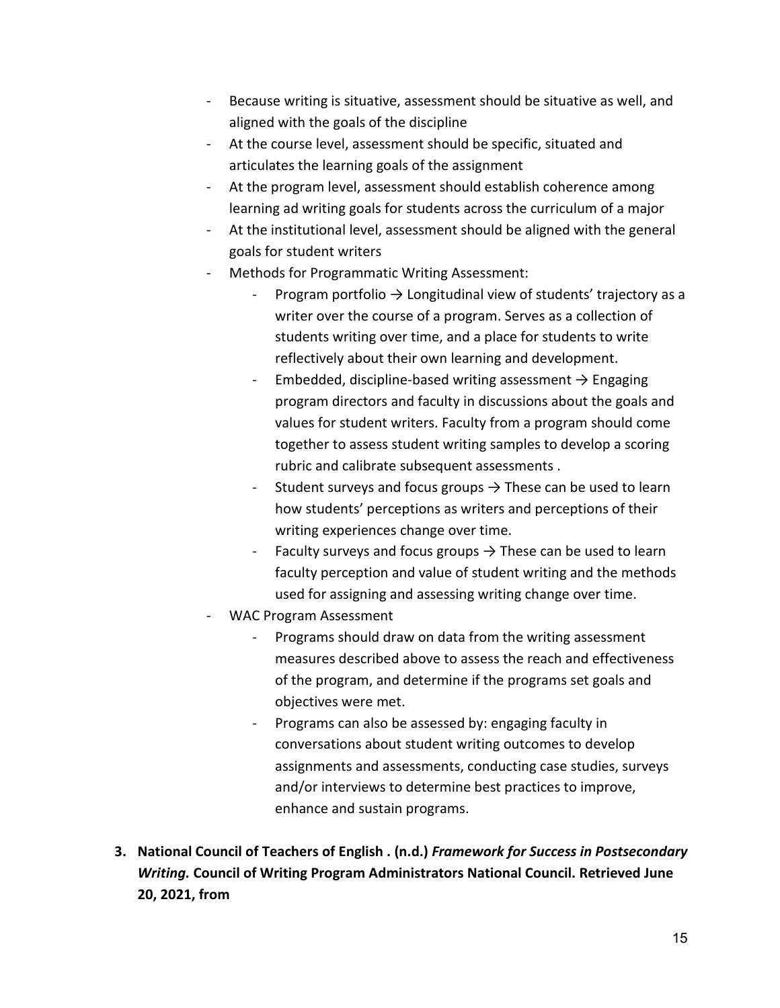- Because writing is situative, assessment should be situative as well, and aligned with the goals of the discipline
- At the course level, assessment should be specific, situated and articulates the learning goals of the assignment
- At the program level, assessment should establish coherence among learning ad writing goals for students across the curriculum of a major
- At the institutional level, assessment should be aligned with the general goals for student writers
- Methods for Programmatic Writing Assessment:
	- Program portfolio  $\rightarrow$  Longitudinal view of students' trajectory as a writer over the course of a program. Serves as a collection of students writing over time, and a place for students to write reflectively about their own learning and development.
	- Embedded, discipline-based writing assessment  $\rightarrow$  Engaging program directors and faculty in discussions about the goals and values for student writers. Faculty from a program should come together to assess student writing samples to develop a scoring rubric and calibrate subsequent assessments .
	- Student surveys and focus groups  $\rightarrow$  These can be used to learn how students' perceptions as writers and perceptions of their writing experiences change over time.
	- Faculty surveys and focus groups  $\rightarrow$  These can be used to learn faculty perception and value of student writing and the methods used for assigning and assessing writing change over time.
- WAC Program Assessment
	- Programs should draw on data from the writing assessment measures described above to assess the reach and effectiveness of the program, and determine if the programs set goals and objectives were met.
	- Programs can also be assessed by: engaging faculty in conversations about student writing outcomes to develop assignments and assessments, conducting case studies, surveys and/or interviews to determine best practices to improve, enhance and sustain programs.
- **3. National Council of Teachers of English . (n.d.)** *Framework for Success in Postsecondary Writing.* **Council of Writing Program Administrators National Council. Retrieved June 20, 2021, from**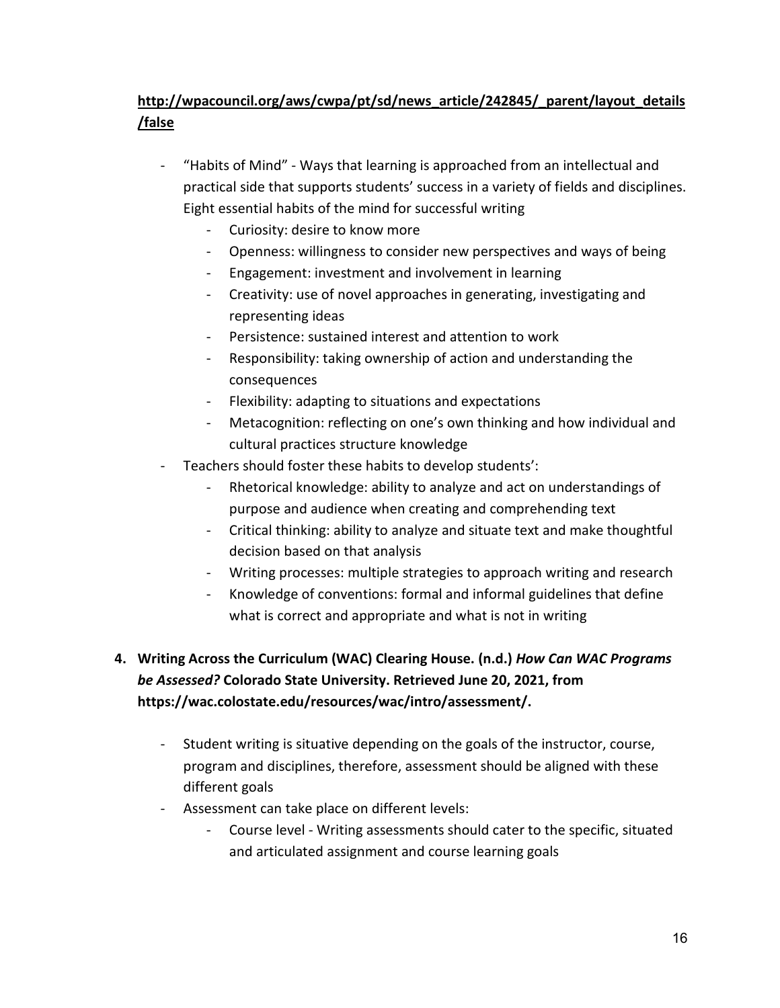### **[http://wpacouncil.org/aws/cwpa/pt/sd/news\\_article/242845/\\_parent/layout\\_details](http://wpacouncil.org/aws/cwpa/pt/sd/news_article/242845/_parent/layout_details/false) [/false](http://wpacouncil.org/aws/cwpa/pt/sd/news_article/242845/_parent/layout_details/false)**

- "Habits of Mind" Ways that learning is approached from an intellectual and practical side that supports students' success in a variety of fields and disciplines. Eight essential habits of the mind for successful writing
	- Curiosity: desire to know more
	- Openness: willingness to consider new perspectives and ways of being
	- Engagement: investment and involvement in learning
	- Creativity: use of novel approaches in generating, investigating and representing ideas
	- Persistence: sustained interest and attention to work
	- Responsibility: taking ownership of action and understanding the consequences
	- Flexibility: adapting to situations and expectations
	- Metacognition: reflecting on one's own thinking and how individual and cultural practices structure knowledge
- Teachers should foster these habits to develop students':
	- Rhetorical knowledge: ability to analyze and act on understandings of purpose and audience when creating and comprehending text
	- Critical thinking: ability to analyze and situate text and make thoughtful decision based on that analysis
	- Writing processes: multiple strategies to approach writing and research
	- Knowledge of conventions: formal and informal guidelines that define what is correct and appropriate and what is not in writing

### **4. Writing Across the Curriculum (WAC) Clearing House. (n.d.)** *How Can WAC Programs be Assessed?* **Colorado State University. Retrieved June 20, 2021, from https://wac.colostate.edu/resources/wac/intro/assessment/.**

- Student writing is situative depending on the goals of the instructor, course, program and disciplines, therefore, assessment should be aligned with these different goals
- Assessment can take place on different levels:
	- Course level Writing assessments should cater to the specific, situated and articulated assignment and course learning goals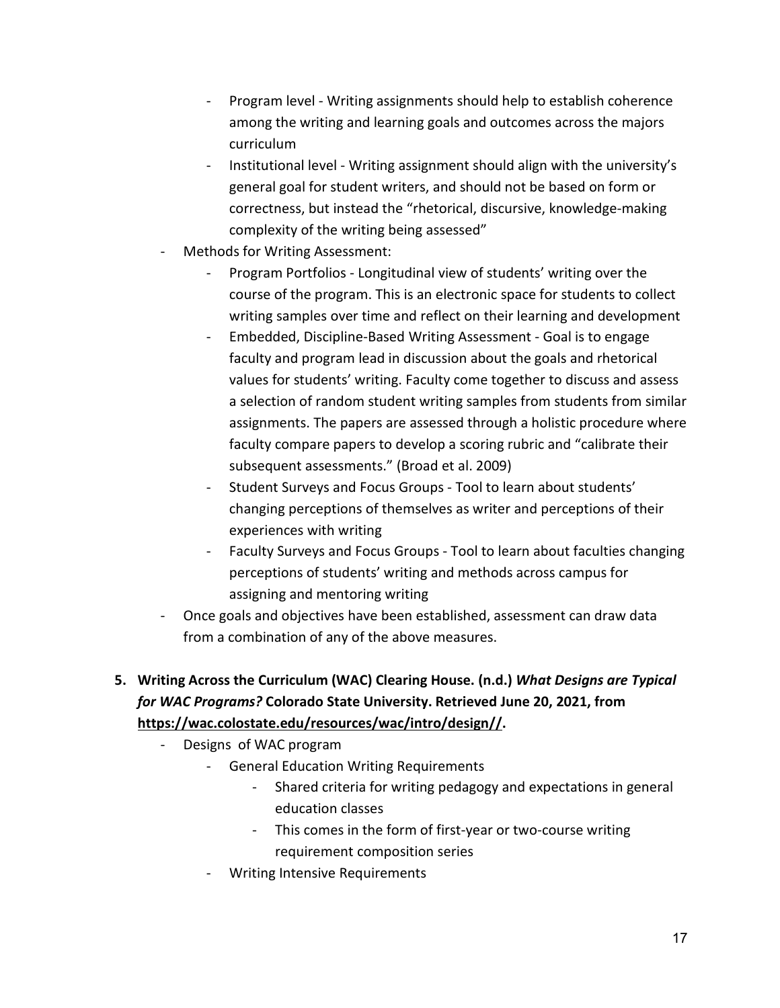- Program level Writing assignments should help to establish coherence among the writing and learning goals and outcomes across the majors curriculum
- Institutional level Writing assignment should align with the university's general goal for student writers, and should not be based on form or correctness, but instead the "rhetorical, discursive, knowledge-making complexity of the writing being assessed"
- Methods for Writing Assessment:
	- Program Portfolios Longitudinal view of students' writing over the course of the program. This is an electronic space for students to collect writing samples over time and reflect on their learning and development
	- Embedded, Discipline-Based Writing Assessment Goal is to engage faculty and program lead in discussion about the goals and rhetorical values for students' writing. Faculty come together to discuss and assess a selection of random student writing samples from students from similar assignments. The papers are assessed through a holistic procedure where faculty compare papers to develop a scoring rubric and "calibrate their subsequent assessments." (Broad et al. 2009)
	- Student Surveys and Focus Groups Tool to learn about students' changing perceptions of themselves as writer and perceptions of their experiences with writing
	- Faculty Surveys and Focus Groups Tool to learn about faculties changing perceptions of students' writing and methods across campus for assigning and mentoring writing
- Once goals and objectives have been established, assessment can draw data from a combination of any of the above measures.
- **5. Writing Across the Curriculum (WAC) Clearing House. (n.d.)** *What Designs are Typical for WAC Programs?* **Colorado State University. Retrieved June 20, 2021, from [https://wac.colostate.edu/resources/wac/intro/design//.](https://wac.colostate.edu/resources/wac/intro/design/)**
	- Designs of WAC program
		- General Education Writing Requirements
			- Shared criteria for writing pedagogy and expectations in general education classes
			- This comes in the form of first-year or two-course writing requirement composition series
		- Writing Intensive Requirements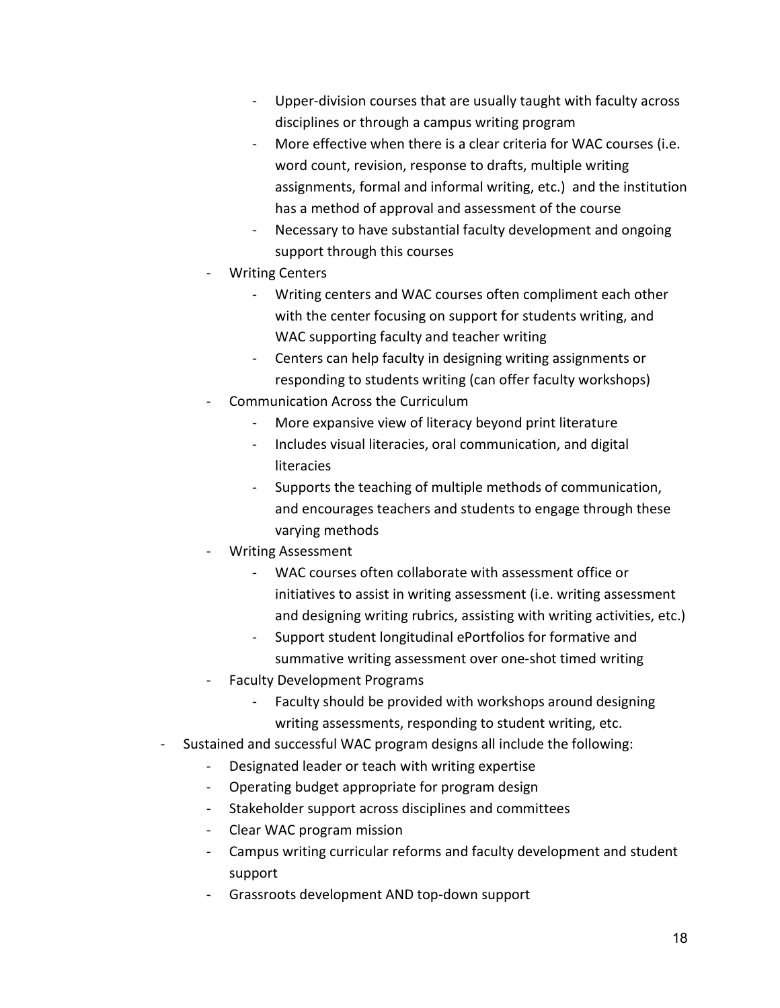- Upper-division courses that are usually taught with faculty across disciplines or through a campus writing program
- More effective when there is a clear criteria for WAC courses (i.e. word count, revision, response to drafts, multiple writing assignments, formal and informal writing, etc.) and the institution has a method of approval and assessment of the course
- Necessary to have substantial faculty development and ongoing support through this courses
- **Writing Centers** 
	- Writing centers and WAC courses often compliment each other with the center focusing on support for students writing, and WAC supporting faculty and teacher writing
	- Centers can help faculty in designing writing assignments or responding to students writing (can offer faculty workshops)
- Communication Across the Curriculum
	- More expansive view of literacy beyond print literature
	- Includes visual literacies, oral communication, and digital literacies
	- Supports the teaching of multiple methods of communication, and encourages teachers and students to engage through these varying methods
- Writing Assessment
	- WAC courses often collaborate with assessment office or initiatives to assist in writing assessment (i.e. writing assessment and designing writing rubrics, assisting with writing activities, etc.)
	- Support student longitudinal ePortfolios for formative and summative writing assessment over one-shot timed writing
- Faculty Development Programs
	- Faculty should be provided with workshops around designing writing assessments, responding to student writing, etc.
- Sustained and successful WAC program designs all include the following:
	- Designated leader or teach with writing expertise
	- Operating budget appropriate for program design
	- Stakeholder support across disciplines and committees
	- Clear WAC program mission
	- Campus writing curricular reforms and faculty development and student support
	- Grassroots development AND top-down support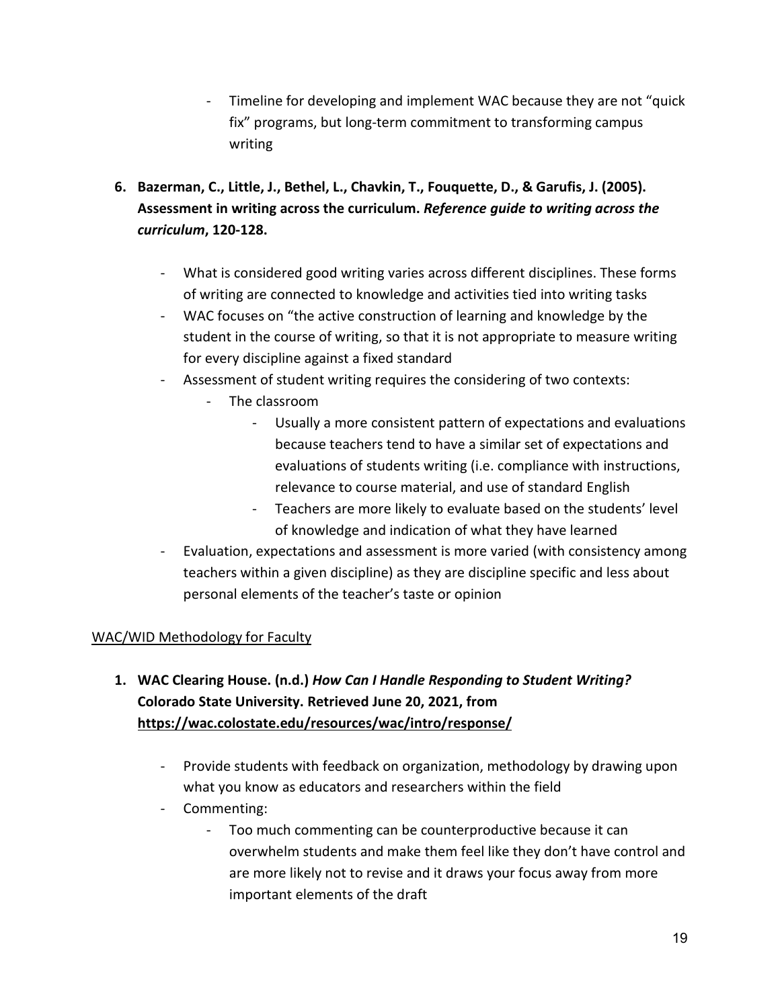- Timeline for developing and implement WAC because they are not "quick fix" programs, but long-term commitment to transforming campus writing
- **6. Bazerman, C., Little, J., Bethel, L., Chavkin, T., Fouquette, D., & Garufis, J. (2005). Assessment in writing across the curriculum.** *Reference guide to writing across the curriculum***, 120-128.**
	- What is considered good writing varies across different disciplines. These forms of writing are connected to knowledge and activities tied into writing tasks
	- WAC focuses on "the active construction of learning and knowledge by the student in the course of writing, so that it is not appropriate to measure writing for every discipline against a fixed standard
	- Assessment of student writing requires the considering of two contexts:
		- The classroom
			- Usually a more consistent pattern of expectations and evaluations because teachers tend to have a similar set of expectations and evaluations of students writing (i.e. compliance with instructions, relevance to course material, and use of standard English
			- Teachers are more likely to evaluate based on the students' level of knowledge and indication of what they have learned
	- Evaluation, expectations and assessment is more varied (with consistency among teachers within a given discipline) as they are discipline specific and less about personal elements of the teacher's taste or opinion

#### WAC/WID Methodology for Faculty

- **1. WAC Clearing House. (n.d.)** *How Can I Handle Responding to Student Writing?*  **Colorado State University. Retrieved June 20, 2021, from <https://wac.colostate.edu/resources/wac/intro/response/>**
	- Provide students with feedback on organization, methodology by drawing upon what you know as educators and researchers within the field
	- Commenting:
		- Too much commenting can be counterproductive because it can overwhelm students and make them feel like they don't have control and are more likely not to revise and it draws your focus away from more important elements of the draft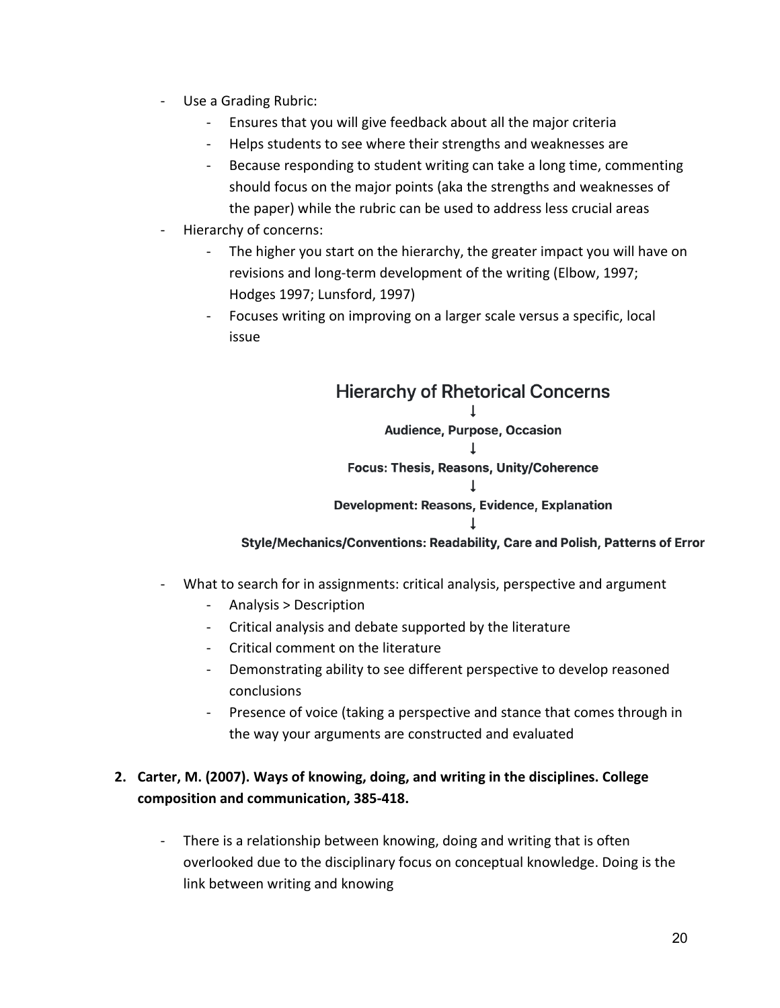- Use a Grading Rubric:
	- Ensures that you will give feedback about all the major criteria
	- Helps students to see where their strengths and weaknesses are
	- Because responding to student writing can take a long time, commenting should focus on the major points (aka the strengths and weaknesses of the paper) while the rubric can be used to address less crucial areas
- Hierarchy of concerns:
	- The higher you start on the hierarchy, the greater impact you will have on revisions and long-term development of the writing (Elbow, 1997; Hodges 1997; Lunsford, 1997)
	- Focuses writing on improving on a larger scale versus a specific, local issue

## **Hierarchy of Rhetorical Concerns**  $\perp$ **Audience, Purpose, Occasion Focus: Thesis, Reasons, Unity/Coherence**  $\perp$ **Development: Reasons, Evidence, Explanation**  $\mathbf{L}$

Style/Mechanics/Conventions: Readability, Care and Polish, Patterns of Error

- What to search for in assignments: critical analysis, perspective and argument
	- Analysis > Description
	- Critical analysis and debate supported by the literature
	- Critical comment on the literature
	- Demonstrating ability to see different perspective to develop reasoned conclusions
	- Presence of voice (taking a perspective and stance that comes through in the way your arguments are constructed and evaluated

### **2. Carter, M. (2007). Ways of knowing, doing, and writing in the disciplines. College composition and communication, 385-418.**

- There is a relationship between knowing, doing and writing that is often overlooked due to the disciplinary focus on conceptual knowledge. Doing is the link between writing and knowing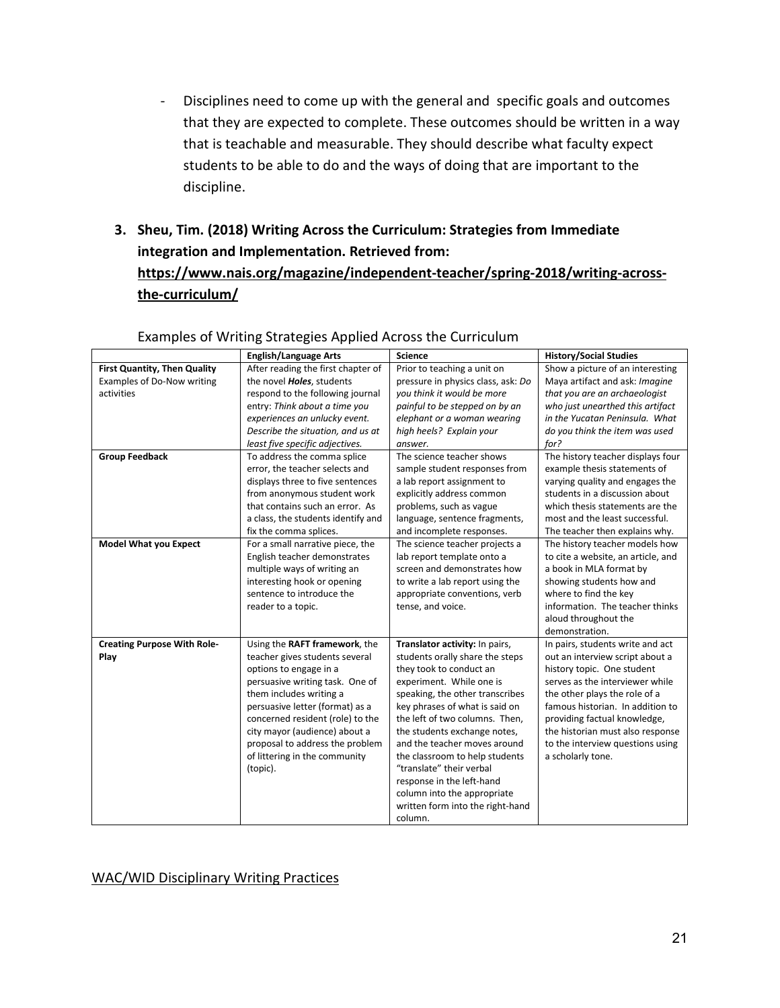- Disciplines need to come up with the general and specific goals and outcomes that they are expected to complete. These outcomes should be written in a way that is teachable and measurable. They should describe what faculty expect students to be able to do and the ways of doing that are important to the discipline.
- **3. Sheu, Tim. (2018) Writing Across the Curriculum: Strategies from Immediate integration and Implementation. Retrieved from:**

### **[https://www.nais.org/magazine/independent-teacher/spring-2018/writing-across](https://www.nais.org/magazine/independent-teacher/spring-2018/writing-across-the-curriculum/)[the-curriculum/](https://www.nais.org/magazine/independent-teacher/spring-2018/writing-across-the-curriculum/)**

|                                    | <b>English/Language Arts</b>       | <b>Science</b>                     | <b>History/Social Studies</b>      |
|------------------------------------|------------------------------------|------------------------------------|------------------------------------|
| First Quantity, Then Quality       | After reading the first chapter of | Prior to teaching a unit on        | Show a picture of an interesting   |
| Examples of Do-Now writing         | the novel <b>Holes</b> , students  | pressure in physics class, ask: Do | Maya artifact and ask: Imagine     |
| activities                         | respond to the following journal   | you think it would be more         | that you are an archaeologist      |
|                                    | entry: Think about a time you      | painful to be stepped on by an     | who just unearthed this artifact   |
|                                    | experiences an unlucky event.      | elephant or a woman wearing        | in the Yucatan Peninsula. What     |
|                                    | Describe the situation, and us at  | high heels? Explain your           | do you think the item was used     |
|                                    | least five specific adjectives.    | answer.                            | for?                               |
| <b>Group Feedback</b>              | To address the comma splice        | The science teacher shows          | The history teacher displays four  |
|                                    | error, the teacher selects and     | sample student responses from      | example thesis statements of       |
|                                    | displays three to five sentences   | a lab report assignment to         | varying quality and engages the    |
|                                    | from anonymous student work        | explicitly address common          | students in a discussion about     |
|                                    | that contains such an error. As    | problems, such as vague            | which thesis statements are the    |
|                                    | a class, the students identify and | language, sentence fragments,      | most and the least successful.     |
|                                    | fix the comma splices.             | and incomplete responses.          | The teacher then explains why.     |
| <b>Model What you Expect</b>       | For a small narrative piece, the   | The science teacher projects a     | The history teacher models how     |
|                                    | English teacher demonstrates       | lab report template onto a         | to cite a website, an article, and |
|                                    | multiple ways of writing an        | screen and demonstrates how        | a book in MLA format by            |
|                                    | interesting hook or opening        | to write a lab report using the    | showing students how and           |
|                                    | sentence to introduce the          | appropriate conventions, verb      | where to find the key              |
|                                    | reader to a topic.                 | tense, and voice.                  | information. The teacher thinks    |
|                                    |                                    |                                    | aloud throughout the               |
|                                    |                                    |                                    | demonstration.                     |
| <b>Creating Purpose With Role-</b> | Using the RAFT framework, the      | Translator activity: In pairs,     | In pairs, students write and act   |
| Play                               | teacher gives students several     | students orally share the steps    | out an interview script about a    |
|                                    | options to engage in a             | they took to conduct an            | history topic. One student         |
|                                    | persuasive writing task. One of    | experiment. While one is           | serves as the interviewer while    |
|                                    | them includes writing a            | speaking, the other transcribes    | the other plays the role of a      |
|                                    | persuasive letter (format) as a    | key phrases of what is said on     | famous historian. In addition to   |
|                                    | concerned resident (role) to the   | the left of two columns. Then,     | providing factual knowledge,       |
|                                    | city mayor (audience) about a      | the students exchange notes,       | the historian must also response   |
|                                    | proposal to address the problem    | and the teacher moves around       | to the interview questions using   |
|                                    | of littering in the community      | the classroom to help students     | a scholarly tone.                  |
|                                    | (topic).                           | "translate" their verbal           |                                    |
|                                    |                                    | response in the left-hand          |                                    |
|                                    |                                    | column into the appropriate        |                                    |
|                                    |                                    | written form into the right-hand   |                                    |
|                                    |                                    | column.                            |                                    |

#### Examples of Writing Strategies Applied Across the Curriculum

#### WAC/WID Disciplinary Writing Practices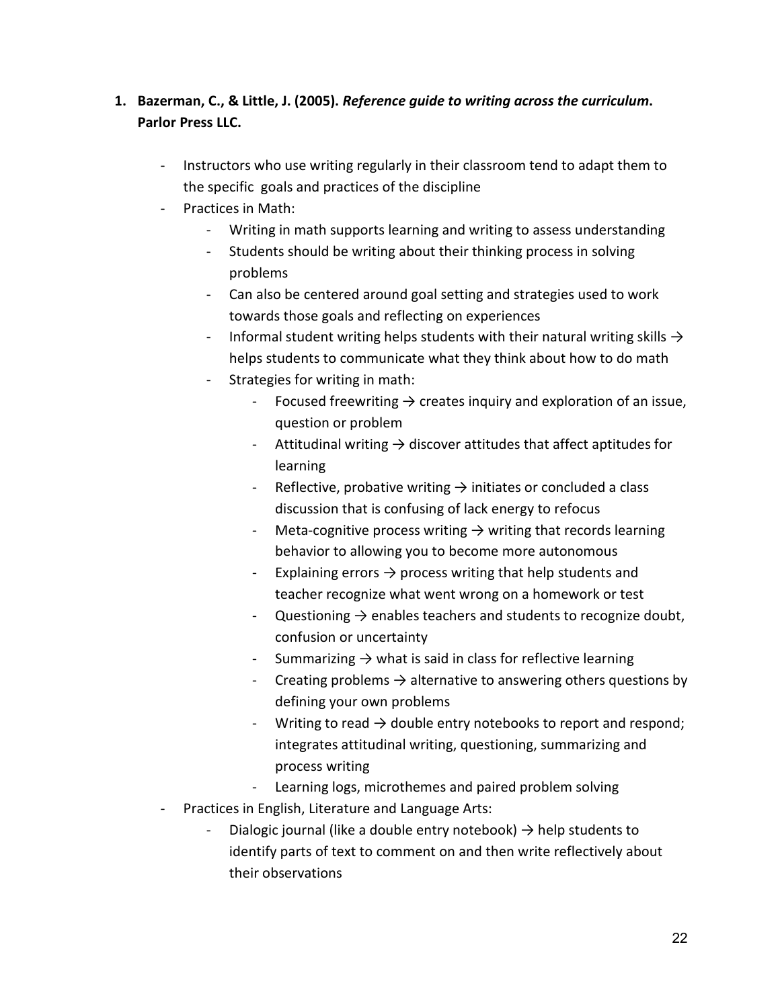### **1. Bazerman, C., & Little, J. (2005).** *Reference guide to writing across the curriculum***. Parlor Press LLC.**

- Instructors who use writing regularly in their classroom tend to adapt them to the specific goals and practices of the discipline
- Practices in Math:
	- Writing in math supports learning and writing to assess understanding
	- Students should be writing about their thinking process in solving problems
	- Can also be centered around goal setting and strategies used to work towards those goals and reflecting on experiences
	- Informal student writing helps students with their natural writing skills  $\rightarrow$ helps students to communicate what they think about how to do math
	- Strategies for writing in math:
		- Focused freewriting  $\rightarrow$  creates inquiry and exploration of an issue, question or problem
		- Attitudinal writing  $\rightarrow$  discover attitudes that affect aptitudes for learning
		- Reflective, probative writing  $\rightarrow$  initiates or concluded a class discussion that is confusing of lack energy to refocus
		- Meta-cognitive process writing  $\rightarrow$  writing that records learning behavior to allowing you to become more autonomous
		- Explaining errors  $\rightarrow$  process writing that help students and teacher recognize what went wrong on a homework or test
		- Questioning  $\rightarrow$  enables teachers and students to recognize doubt, confusion or uncertainty
		- Summarizing  $\rightarrow$  what is said in class for reflective learning
		- Creating problems  $\rightarrow$  alternative to answering others questions by defining your own problems
		- Writing to read  $\rightarrow$  double entry notebooks to report and respond; integrates attitudinal writing, questioning, summarizing and process writing
		- Learning logs, microthemes and paired problem solving
- Practices in English, Literature and Language Arts:
	- Dialogic journal (like a double entry notebook)  $\rightarrow$  help students to identify parts of text to comment on and then write reflectively about their observations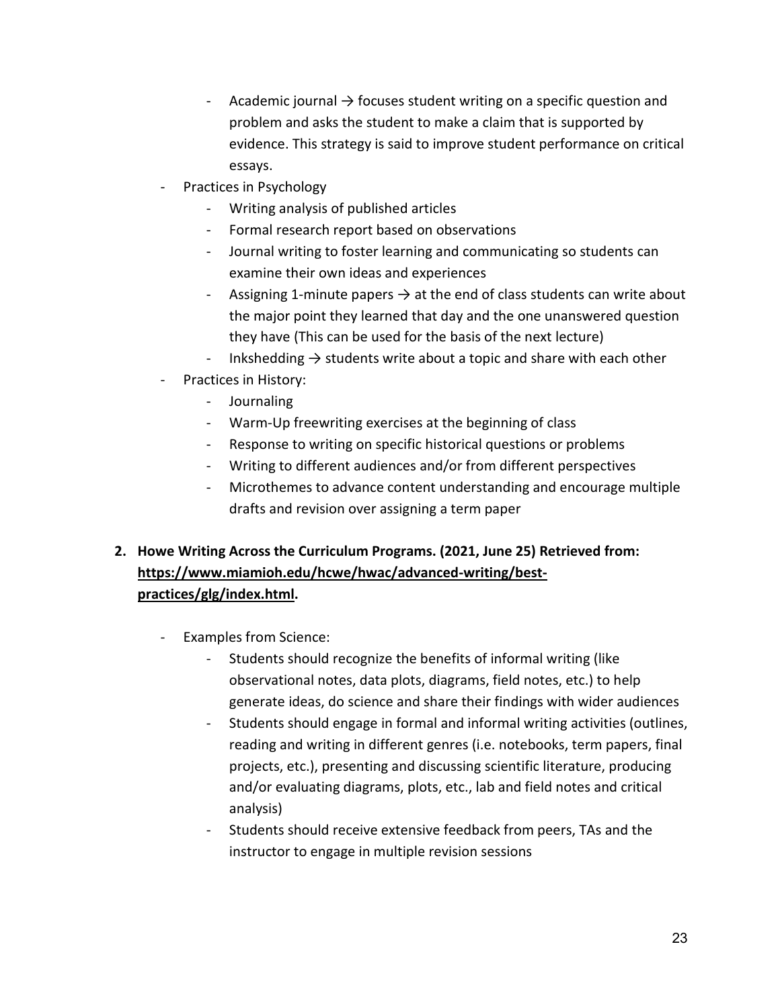- Academic journal  $\rightarrow$  focuses student writing on a specific question and problem and asks the student to make a claim that is supported by evidence. This strategy is said to improve student performance on critical essays.
- Practices in Psychology
	- Writing analysis of published articles
	- Formal research report based on observations
	- Journal writing to foster learning and communicating so students can examine their own ideas and experiences
	- Assigning 1-minute papers  $\rightarrow$  at the end of class students can write about the major point they learned that day and the one unanswered question they have (This can be used for the basis of the next lecture)
	- Inkshedding  $\rightarrow$  students write about a topic and share with each other
- Practices in History:
	- Journaling
	- Warm-Up freewriting exercises at the beginning of class
	- Response to writing on specific historical questions or problems
	- Writing to different audiences and/or from different perspectives
	- Microthemes to advance content understanding and encourage multiple drafts and revision over assigning a term paper

### **2. Howe Writing Across the Curriculum Programs. (2021, June 25) Retrieved from: [https://www.miamioh.edu/hcwe/hwac/advanced-writing/best](https://www.miamioh.edu/hcwe/hwac/advanced-writing/best-practices/glg/index.html)[practices/glg/index.html.](https://www.miamioh.edu/hcwe/hwac/advanced-writing/best-practices/glg/index.html)**

- Examples from Science:
	- Students should recognize the benefits of informal writing (like observational notes, data plots, diagrams, field notes, etc.) to help generate ideas, do science and share their findings with wider audiences
	- Students should engage in formal and informal writing activities (outlines, reading and writing in different genres (i.e. notebooks, term papers, final projects, etc.), presenting and discussing scientific literature, producing and/or evaluating diagrams, plots, etc., lab and field notes and critical analysis)
	- Students should receive extensive feedback from peers, TAs and the instructor to engage in multiple revision sessions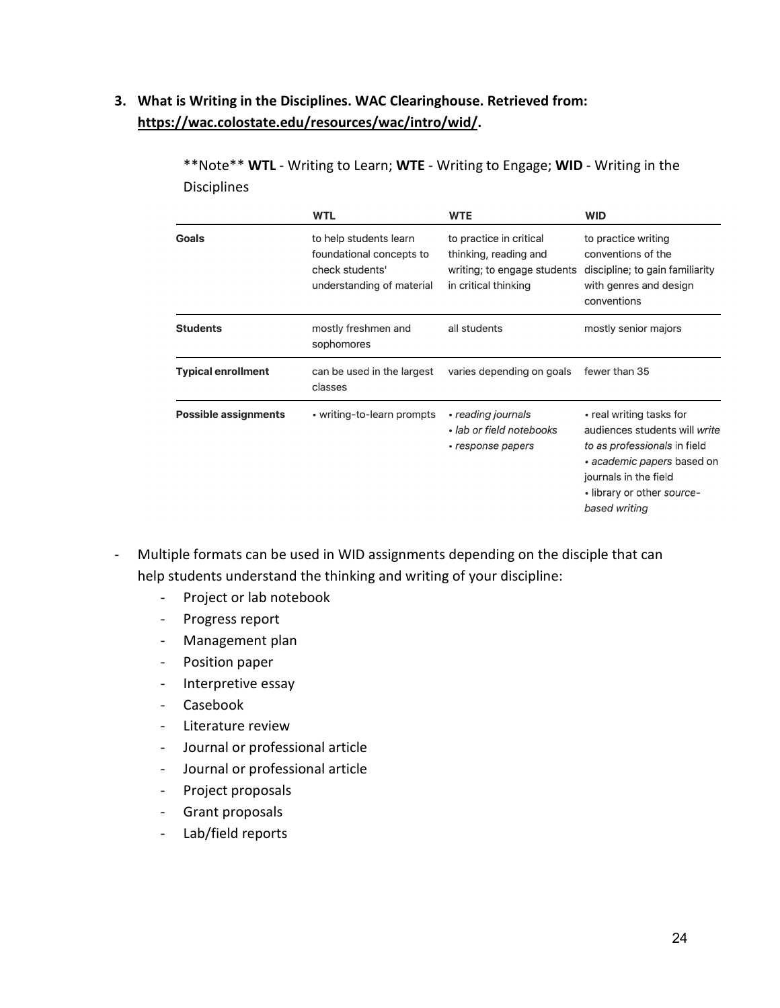### **3. What is Writing in the Disciplines. WAC Clearinghouse. Retrieved from: [https://wac.colostate.edu/resources/wac/intro/wid/.](https://wac.colostate.edu/resources/wac/intro/wid/)**

|                             | <b>WTL</b>                                                                                         | <b>WTE</b>                                                                                              | <b>WID</b>                                                                                                                                                                                      |
|-----------------------------|----------------------------------------------------------------------------------------------------|---------------------------------------------------------------------------------------------------------|-------------------------------------------------------------------------------------------------------------------------------------------------------------------------------------------------|
| Goals                       | to help students learn<br>foundational concepts to<br>check students'<br>understanding of material | to practice in critical<br>thinking, reading and<br>writing; to engage students<br>in critical thinking | to practice writing<br>conventions of the<br>discipline; to gain familiarity<br>with genres and design<br>conventions                                                                           |
| <b>Students</b>             | mostly freshmen and<br>sophomores                                                                  | all students                                                                                            | mostly senior majors                                                                                                                                                                            |
| <b>Typical enrollment</b>   | can be used in the largest<br>classes                                                              | varies depending on goals                                                                               | fewer than 35                                                                                                                                                                                   |
| <b>Possible assignments</b> | • writing-to-learn prompts                                                                         | • reading journals<br>• lab or field notebooks<br>• response papers                                     | • real writing tasks for<br>audiences students will write<br>to as professionals in field<br>• academic papers based on<br>journals in the field<br>• library or other source-<br>based writing |

\*\*Note\*\* **WTL** - Writing to Learn; **WTE** - Writing to Engage; **WID** - Writing in the Disciplines

- Multiple formats can be used in WID assignments depending on the disciple that can help students understand the thinking and writing of your discipline:
	- Project or lab notebook
	- Progress report
	- Management plan
	- Position paper
	- Interpretive essay
	- Casebook
	- Literature review
	- Journal or professional article
	- Journal or professional article
	- Project proposals
	- Grant proposals
	- Lab/field reports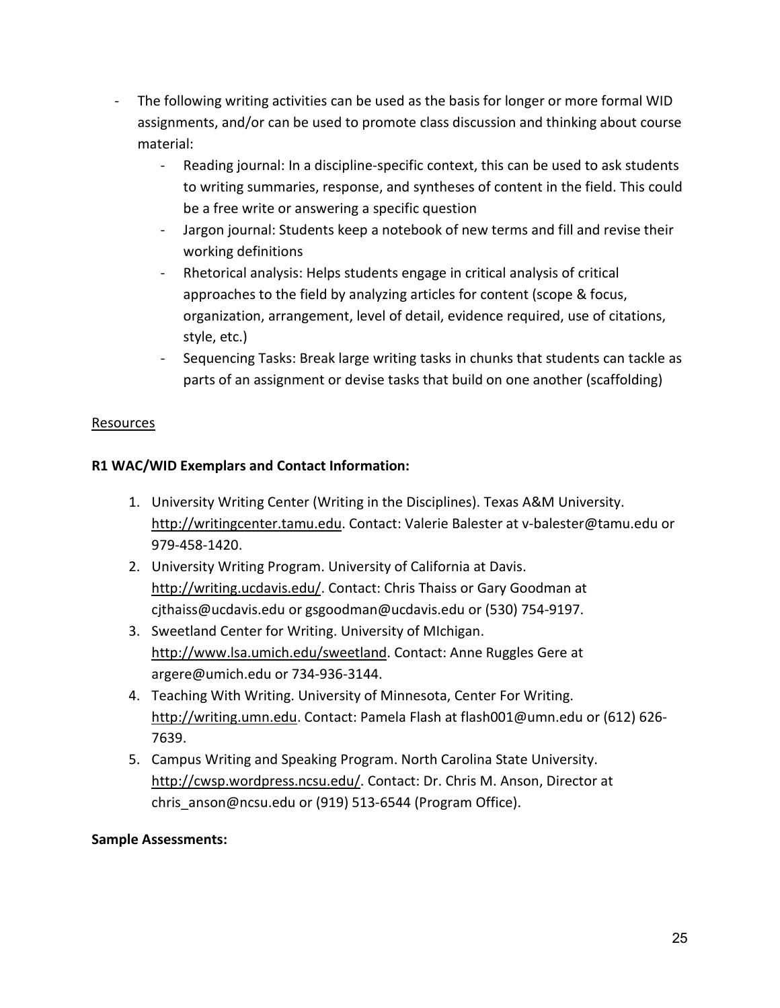- The following writing activities can be used as the basis for longer or more formal WID assignments, and/or can be used to promote class discussion and thinking about course material:
	- Reading journal: In a discipline-specific context, this can be used to ask students to writing summaries, response, and syntheses of content in the field. This could be a free write or answering a specific question
	- Jargon journal: Students keep a notebook of new terms and fill and revise their working definitions
	- Rhetorical analysis: Helps students engage in critical analysis of critical approaches to the field by analyzing articles for content (scope & focus, organization, arrangement, level of detail, evidence required, use of citations, style, etc.)
	- Sequencing Tasks: Break large writing tasks in chunks that students can tackle as parts of an assignment or devise tasks that build on one another (scaffolding)

#### Resources

### **R1 WAC/WID Exemplars and Contact Information:**

- 1. University Writing Center (Writing in the Disciplines). Texas A&M University. [http://writingcenter.tamu.edu.](http://writingcenter.tamu.edu/) Contact: Valerie Balester at v-balester@tamu.edu or 979-458-1420.
- 2. University Writing Program. University of California at Davis. [http://writing.ucdavis.edu/.](http://writing.ucdavis.edu/) Contact: Chris Thaiss or Gary Goodman at cjthaiss@ucdavis.edu or gsgoodman@ucdavis.edu or (530) 754-9197.
- 3. Sweetland Center for Writing. University of MIchigan. [http://www.lsa.umich.edu/sweetland.](http://www.lsa.umich.edu/sweetland) Contact: Anne Ruggles Gere at argere@umich.edu or 734-936-3144.
- 4. Teaching With Writing. University of Minnesota, Center For Writing. [http://writing.umn.edu.](http://writing.umn.edu/) Contact: Pamela Flash at flash001@umn.edu or (612) 626- 7639.
- 5. Campus Writing and Speaking Program. North Carolina State University. [http://cwsp.wordpress.ncsu.edu/.](http://cwsp.wordpress.ncsu.edu/) Contact: Dr. Chris M. Anson, Director at chris anson@ncsu.edu or (919) 513-6544 (Program Office).

#### **Sample Assessments:**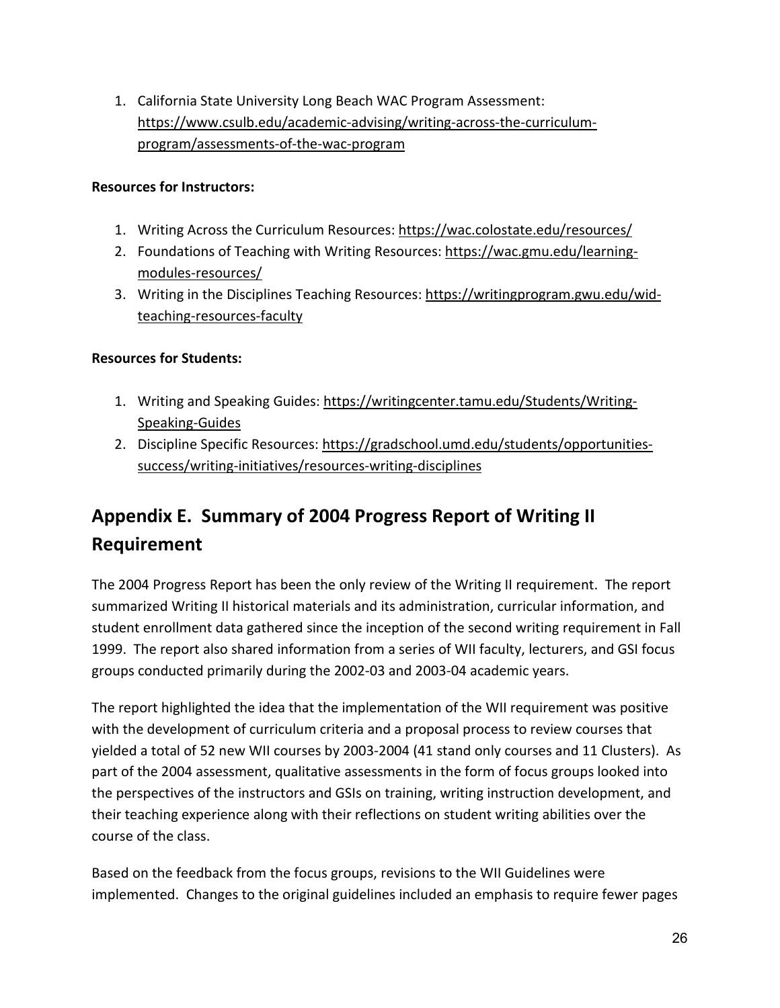<span id="page-26-1"></span>1. California State University Long Beach WAC Program Assessment: [https://www.csulb.edu/academic-advising/writing-across-the-curriculum](https://www.csulb.edu/academic-advising/writing-across-the-curriculum-program/assessments-of-the-wac-program)[program/assessments-of-the-wac-program](https://www.csulb.edu/academic-advising/writing-across-the-curriculum-program/assessments-of-the-wac-program)

#### **Resources for Instructors:**

- 1. Writing Across the Curriculum Resources:<https://wac.colostate.edu/resources/>
- 2. Foundations of Teaching with Writing Resources: [https://wac.gmu.edu/learning](https://wac.gmu.edu/learning-modules-resources/)[modules-resources/](https://wac.gmu.edu/learning-modules-resources/)
- 3. Writing in the Disciplines Teaching Resources: [https://writingprogram.gwu.edu/wid](https://writingprogram.gwu.edu/wid-teaching-resources-faculty)[teaching-resources-faculty](https://writingprogram.gwu.edu/wid-teaching-resources-faculty)

### **Resources for Students:**

- 1. Writing and Speaking Guides: [https://writingcenter.tamu.edu/Students/Writing-](https://writingcenter.tamu.edu/Students/Writing-Speaking-Guides)[Speaking-Guides](https://writingcenter.tamu.edu/Students/Writing-Speaking-Guides)
- 2. Discipline Specific Resources: [https://gradschool.umd.edu/students/opportunities](https://gradschool.umd.edu/students/opportunities-success/writing-initiatives/resources-writing-disciplines)[success/writing-initiatives/resources-writing-disciplines](https://gradschool.umd.edu/students/opportunities-success/writing-initiatives/resources-writing-disciplines)

# <span id="page-26-0"></span>**Appendix E. Summary of 2004 Progress Report of Writing II Requirement**

The 2004 Progress Report has been the only review of the Writing II requirement. The report summarized Writing II historical materials and its administration, curricular information, and student enrollment data gathered since the inception of the second writing requirement in Fall 1999. The report also shared information from a series of WII faculty, lecturers, and GSI focus groups conducted primarily during the 2002-03 and 2003-04 academic years.

The report highlighted the idea that the implementation of the WII requirement was positive with the development of curriculum criteria and a proposal process to review courses that yielded a total of 52 new WII courses by 2003-2004 (41 stand only courses and 11 Clusters). As part of the 2004 assessment, qualitative assessments in the form of focus groups looked into the perspectives of the instructors and GSIs on training, writing instruction development, and their teaching experience along with their reflections on student writing abilities over the course of the class.

Based on the feedback from the focus groups, revisions to the WII Guidelines were implemented. Changes to the original guidelines included an emphasis to require fewer pages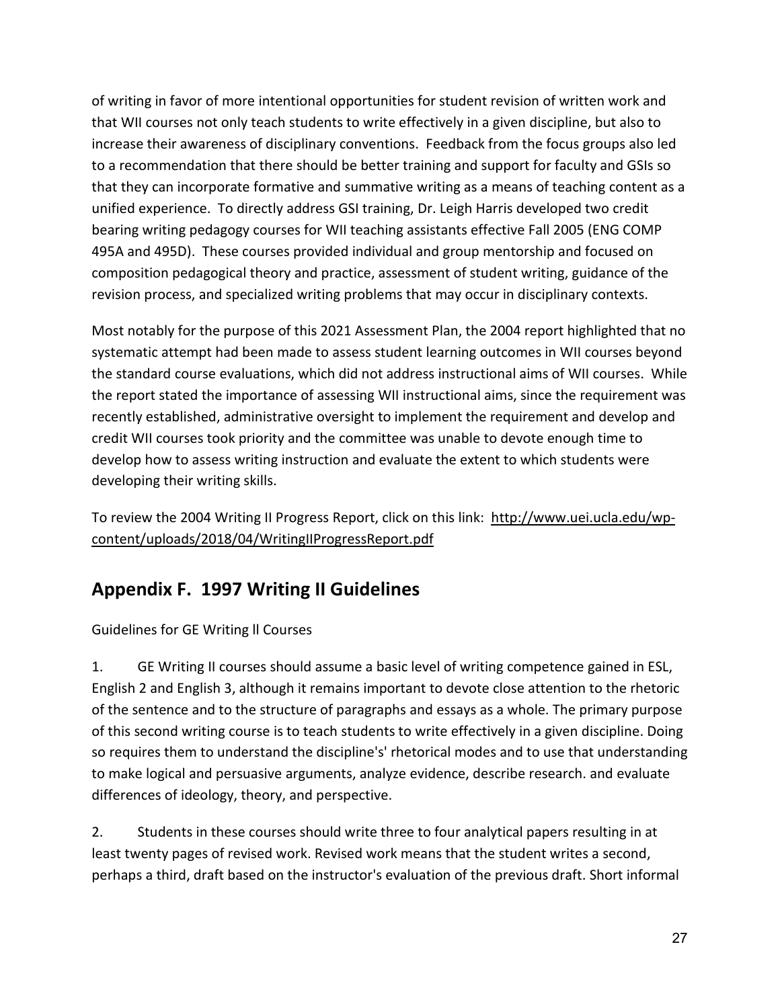<span id="page-27-1"></span>of writing in favor of more intentional opportunities for student revision of written work and that WII courses not only teach students to write effectively in a given discipline, but also to increase their awareness of disciplinary conventions. Feedback from the focus groups also led to a recommendation that there should be better training and support for faculty and GSIs so that they can incorporate formative and summative writing as a means of teaching content as a unified experience. To directly address GSI training, Dr. Leigh Harris developed two credit bearing writing pedagogy courses for WII teaching assistants effective Fall 2005 (ENG COMP 495A and 495D). These courses provided individual and group mentorship and focused on composition pedagogical theory and practice, assessment of student writing, guidance of the revision process, and specialized writing problems that may occur in disciplinary contexts.

Most notably for the purpose of this 2021 Assessment Plan, the 2004 report highlighted that no systematic attempt had been made to assess student learning outcomes in WII courses beyond the standard course evaluations, which did not address instructional aims of WII courses. While the report stated the importance of assessing WII instructional aims, since the requirement was recently established, administrative oversight to implement the requirement and develop and credit WII courses took priority and the committee was unable to devote enough time to develop how to assess writing instruction and evaluate the extent to which students were developing their writing skills.

To review the 2004 Writing II Progress Report, click on this link: [http://www.uei.ucla.edu/wp](http://www.uei.ucla.edu/wp-content/uploads/2018/04/WritingIIProgressReport.pdf)[content/uploads/2018/04/WritingIIProgressReport.pdf](http://www.uei.ucla.edu/wp-content/uploads/2018/04/WritingIIProgressReport.pdf)

## <span id="page-27-0"></span>**Appendix F. 1997 Writing II Guidelines**

Guidelines for GE Writing ll Courses

1. GE Writing II courses should assume a basic level of writing competence gained in ESL, English 2 and English 3, although it remains important to devote close attention to the rhetoric of the sentence and to the structure of paragraphs and essays as a whole. The primary purpose of this second writing course is to teach students to write effectively in a given discipline. Doing so requires them to understand the discipline's' rhetorical modes and to use that understanding to make logical and persuasive arguments, analyze evidence, describe research. and evaluate differences of ideology, theory, and perspective.

2. Students in these courses should write three to four analytical papers resulting in at least twenty pages of revised work. Revised work means that the student writes a second, perhaps a third, draft based on the instructor's evaluation of the previous draft. Short informal